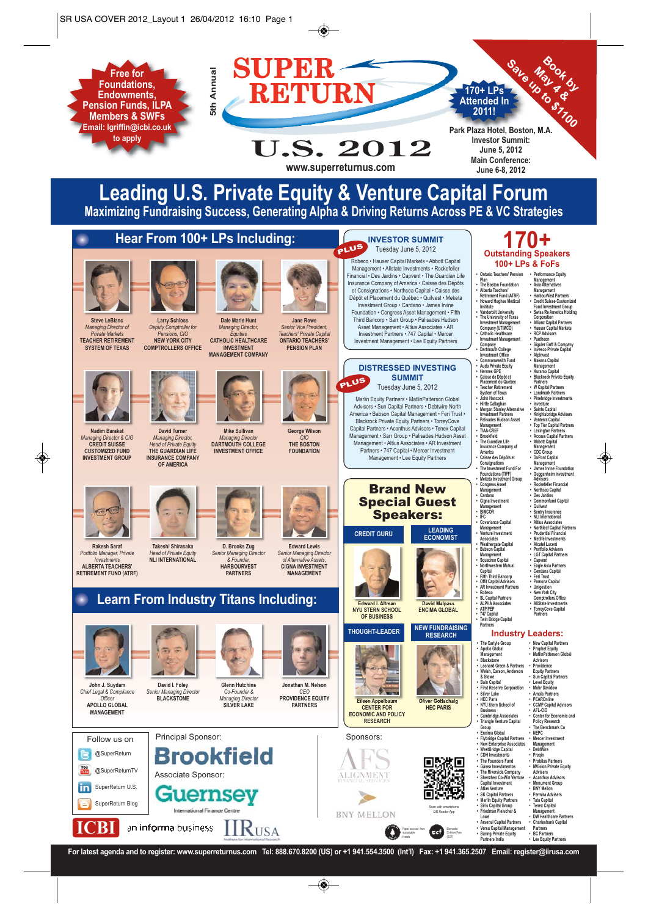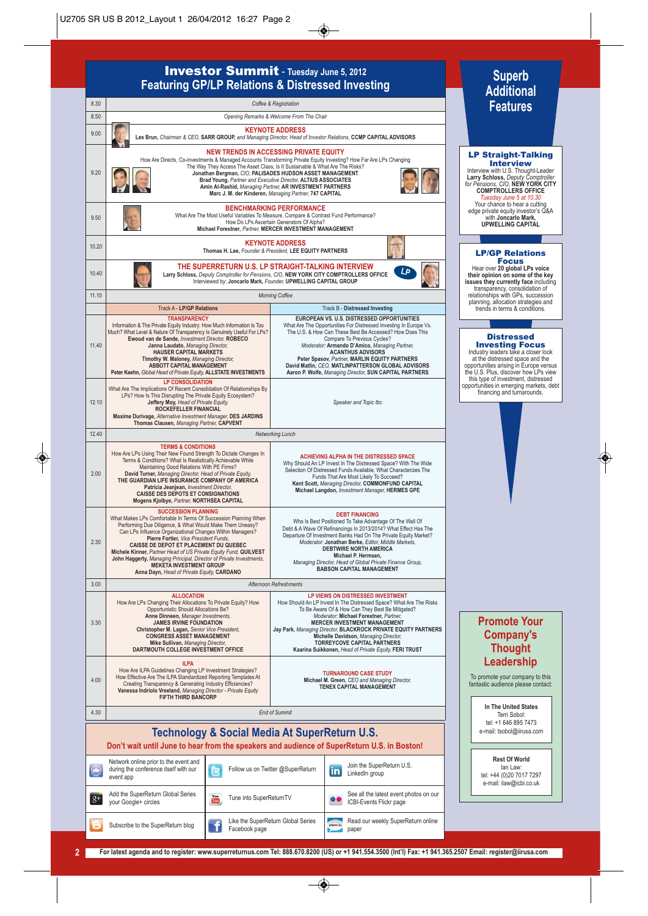### Investor Summit - **Tuesday June 5, 2012 Featuring GP/LP Relations & Distressed Investing**

8.30 *Coffee & Registration* 8.50 *Opening Remarks & Welcome From The Chair* 9.00 **KEYNOTE ADDRESS Les Brun,** *Chairman & CEO,* **SARR GROUP,** *and Managing Director, Head of Investor Relations,* **CCMP CAPITAL ADVISORS NEW TRENDS IN ACCESSING PRIVATE EQUITY** How Are Directs, Co-investments & Managed Accounts Transforming Private Equity Investing? How Far Are LPs Changing The Way They Access The Asset Class, Is It Sustainable & What Are The Risks? 9.20 Jonathan Bergman, C/O, PALISADES HUDSON ASSET MANAGEMENT<br>Brad Young, *Partner and Executive Director,* ALTIUS ASSOCIATES<br>Amin Al-Rashid, *Managing Partner,* AR INVESTMENT PARTNERS **Marc J. M. der Kinderen,** *Managing Partner,* **747 CAPITAL BENCHMARKING PERFORMANCE** What Are The Most Useful Variables To Measure, Compare & Contrast Fund Performance? 9.50 How Do LPs Ascertain Generators Of Alpha? **Michael Forestner,** *Partner,* **MERCER INVESTMENT MANAGEMENT** 10.20 **KEYNOTE ADDRESS Thomas H. Lee,** *Founder & President,* **LEE EQUITY PARTNERS** 10.40 **THE SUPERRETURN U.S. LP STRAIGHT-TALKING INTERVIEW Larry Schloss,** *Deputy Comptroller for Pensions, CIO,* **NEW YORK CITY COMPTROLLERS OFFICE LP** Interviewed by: **Joncarlo Mark,** *Founder,* **UPWELLING CAPITAL GROUP** 11.10 *Morning Coffee* Track A - **LP/GP Relations** Track B - **Distressed Investing TRANSPARENCY EUROPEAN VS. U.S. DISTRESSED OPPORTUNITIES** Information & The Private Equity Industry: How Much Information Is Too What Are The Opportunities For Distressed Investing In Europe Vs. Much? What Level & Nature Of Transparency Is Genuinely Useful For LPs? **Ewoud van de Sande,** *Investment Director,* **ROBECO** The U.S. & How Can These Best Be Accessed? How Does This Compare To Previous Cycles? *Moderator:* **Armando D'Amico,** *Managing Partner,* 11.40 **Janna Laudato,** *Managing Director,* **HAUSER CAPITAL MARKETS ACANTHUS ADVISORS Peter Spasov,** *Partner,* **MARLIN EQUITY PARTNERS Timothy W. Maloney,** *Managing Director,* **ABBOTT CAPITAL MANAGEMENT Peter Keehn,** *Global Head of Private Equity,* **ALLSTATE INVESTMENTS David Matlin,** *CEO,* **MATLINPATTERSON GLOBAL ADVISORS Aaron P. Wolfe,** *Managing Director,* **SUN CAPITAL PARTNERS LP CONSOLIDATION** opportunities in emerging markets, debt What Are The Implications Of Recent Consolidation Of Relationships By LPs? How Is This Disrupting The Private Equity Ecosystem? **Jeffery Moy,** *Head of Private Equity,* **ROCKEFELLER FINANCIAL** 12.10 *Speaker and Topic tbc* **Maxime Durivage,** *Alternative Investment Manager,* **DES JARDINS Thomas Clausen,** *Managing Partner,* **CAPVENT** 12.40 *Networking Lunch* **TERMS & CONDITIONS**<br>How Are LPs Using Their New Found Strength To Dictate Changes In<br>Terms & Conditions? What Is Realistically Achievable While<br>Maintaining Good Relations With PE Firms?<br>David Turner, Managing Director, He **ACHIEVING ALPHA IN THE DISTRESSED SPACE** Why Should An LP Invest In The Distressed Space? With The Wide 2.00 Selection Of Distressed Funds Available, What Characterizes The Funds That Are Most Likely To Succeed? **Kent Scott,** *Managing Director,* **COMMONFUND CAPITAL Patricia Jeanjean,** *Investment Director,* **CAISSE DES DEPOTS ET CONSIGNATIONS Michael Langdon,** *Investment Manager,* **HERMES GPE Mogens Kjolbye,** *Partner,* **NORTHSEA CAPITAL SUCCESSION PLANNING DEBT FINANCING** What Makes LPs Comfortable In Terms Of Succession Planning When Who Is Best Positioned To Take Advantage Of The Wall Of Debt & A Wave Of Refinancings In 2013/2014? What Effect Has The Departure Of Investment Banks Had On The Private Equity Market? Performing Due Diligence, & What Would Make Them Uneasy? Can LPs Influence Organizational Changes Within Managers? **Pierre Fortier,** *Vice President Funds,* 2.30 *Moderator:* **Jonathan Berke,** *Editor, Middle Markets,* **DEBTWIRE NORTH AMERICA CAISSE DE DEPOT ET PLACEMENT DU QUEBEC Michele Kinner,** *Partner Head of US Private Equity Fund,* **QUILVEST Michael P. Hermsen, John Haggerty,** *Managing Principal, Director of Private Investments,* **MEKETA INVESTMENT GROUP** *Managing Director, Head of Global Private Finance Group,* **BABSON CAPITAL MANAGEMENT Anna Dayn,** *Head of Private Equity,* **CARDANO** 3.00 *Afternoon Refreshments* **LP VIEWS ON DISTRESSED INVESTMENT ALLOCATION** How Are LPs Changing Their Allocations To Private Equity? How Opportunistic Should Allocations Be? How Should An LP Invest In The Distressed Space? What Are The Risks To Be Aware Of & How Can They Best Be Mitigated? *Moderator:* **Michael Forestner,** *Partner,* **Anne Dinneen,** *Manager Investments,* **JAMES IRVINE FOUNDATION MERCER INVESTMENT MANAGEMENT** 3.30 **Jay Park,** *Managing Director,* **BLACKROCK PRIVATE EQUITY PARTNERS Christopher M. Lagan,** *Senior Vice President,* **CONGRESS ASSET MANAGEMENT**  $M$ ichelle Davidson, Managing Direct **TORREYCOVE CAPITAL PARTNERS Mike Sullivan,** *Managing Director,* **DARTMOUTH COLLEGE INVESTMENT OFFICE Kaarina Suikkonen,** *Head of Private Equity,* **FERI TRUST How Are ILPA Guidelines Changing LP Investment Strategies?**<br>How Effective Are The ILPA Standardized Reporting Templates At<br>Creating Transparency & Generating Industry Efficiencies?<br>Vanessa Indriolo Vreeland, Managing Dire **TURNAROUND CASE STUDY** 4.00 **Michael M. Green,** *CEO and Managing Director,* **TENEX CAPITAL MANAGEMENT** 4.30 *End of Summit* **Technology & Social Media At SuperReturn U.S. Don't wait until June to hear from the speakers and audience of SuperReturn U.S. in Boston!** Network online prior to the event and Follow us on Twitter @SuperReturn | Join the SuperReturn U.S. during the conference itself with our LinkedIn group event app  $8+$ Add the SuperReturn Global Series (The Tune into SuperReturnTV on See all the latest event photos on our<br>your Google+ circles on our series on the Tune into SuperReturnTV ICBI-Events Flickr page Subscribe to the SuperReturn blog Like the SuperReturn Global Series Read our weekly SuperReturn online Facebook page paper

## **Superb Additional Features**

### LP Straight-Talking Interview Interview with U.S. Thought-Leader **Larry Schloss,** *Deputy Comptroller for Pensions, CIO*, **NEW YORK CITY COMPTROLLERS OFFICE** *Tuesday June 5 at 10.30* Your chance to hear a cutting edge private equity investor's Q&A with **Joncarlo Mark, UPWELLING CAPITAL**

### LP/GP Relations Focus

Hear over **20 global LPs voice their opinion on some of the key issues they currently face** including transparency, consolidation of relationships with GPs, succession planning, allocation strategies and trends in terms & conditions.

**Distressed Investing Focus**<br>Industry leaders take a closer look at the distressed space and the opportunities arising in Europe versus the U.S. Plus, discover how LPs view this type of investment, distressed

financing and turnarounds.

### **Promote Your Company's Thought Leadership**

To promote your company to this fantastic audience please contact:

**In The United States** Terri Sobol: tel: +1 646 895 7473 e-mail: tsobol@iirusa.com

**Rest Of World** Ian Law: tel: +44 (0)20 7017 7297 e-mail: ilaw@icbi.co.uk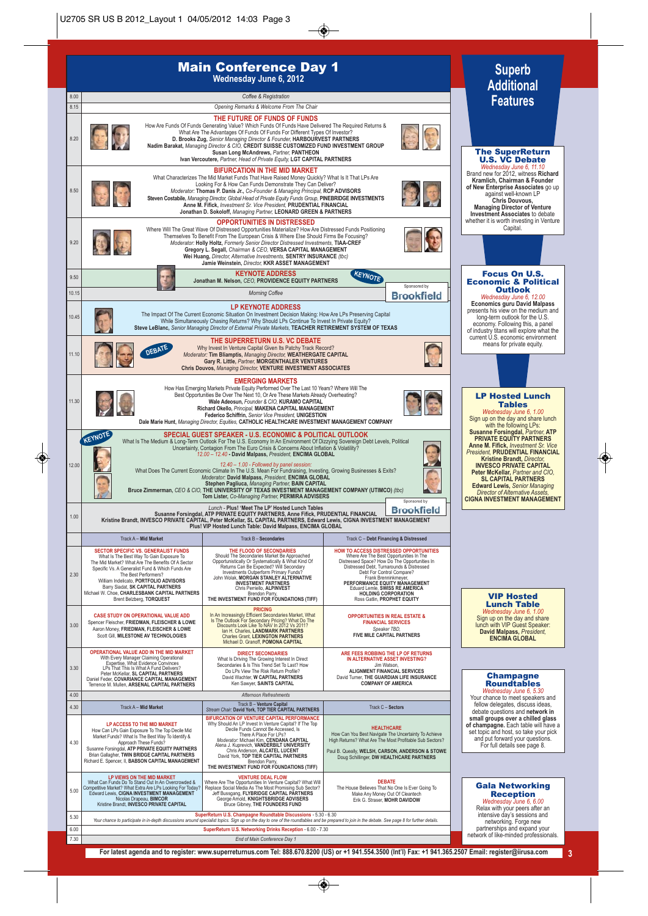

**For latest agenda and to register: www.superreturnus.com Tel: 888.670.8200 (US) or +1 941.554.3500 (Int'l) Fax: +1 941.365.2507 Email: register@iirusa.com 3**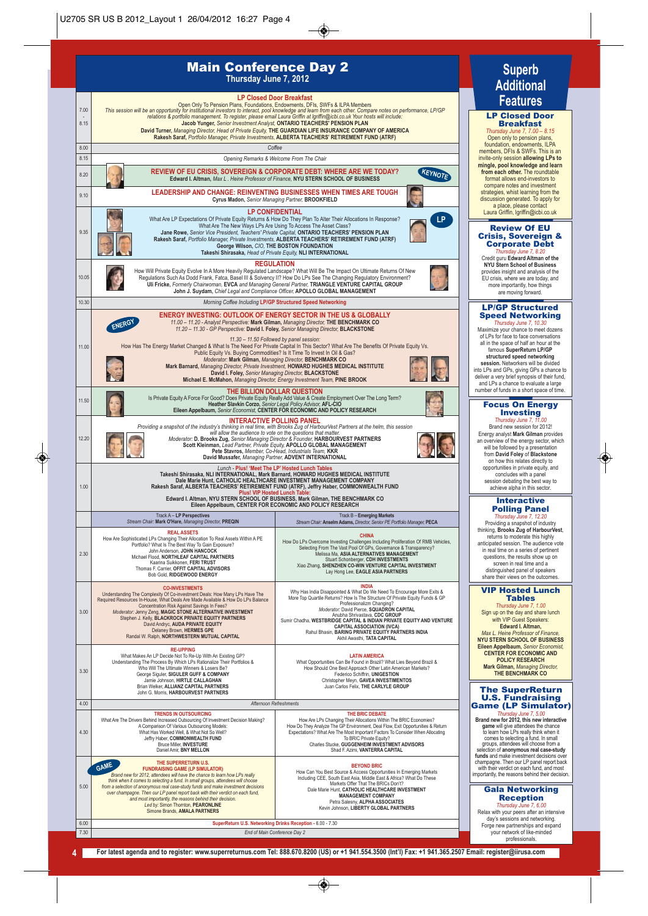### Main Conference Day 2 **Thursday June 7, 2012**



### format allows end-investors to compare notes and investment strategies, whist learning from the discussion generated. To apply for a place, please contact Laura Griffin, lgriffin@icbi.co.uk Review Of EU Crisis, Sovereign & Corporate Debt *Thursday June 7, 8.20* Credit guru **Edward Altman of the**

**Superb Additional Features** 

LP Closed Door **Breakfast**<br> *Thursday June 7, 7.00 – 8.15*<br>
Open only to pension plans,<br>
foundation, endowments, ILPA<br>
members, DFIs & SWFs. This is an invite-only session **allowing LPs to**  mingle, pool knowledge a **from each other.** The roundtable

**NYU Stern School of Business** provides insight and analysis of the EU crisis, where we are today, and more importantly, how things are moving forward.

### LP/GP Structured Speed Networking

*Thursday June 7, 10.30* Maximize your chance to meet dozens of LPs for face to face conversations all in the space of half an hour at the famous **SuperReturn LP/GP** 

**session.** Networking<br> **session.** Networkers will be divided<br>
into LPs and GPs, giving GPs a chance to<br>
deliver a very brief synopsis of their fund,<br>
and LPs a chance to evaluate a large number of funds in a short space of time.

### Focus On Energy Investing

*Thursday June 7, 11.00* Brand new session for 2012! Energy analyst **Mark Gilman** provides an overview of the energy sector, which will be followed by a presentation from **David Foley** of **Blackstone** on how this relates directly to opportunities in private equity, and concludes with a panel session debating the best way to achieve alpha in this sector.

#### **Interactive** Polling Panel *Thursday June 7, 12.20*

Providing a snapshot of industry thinking, **Brooks Zug of HarbourVest**, returns to moderate this highly anticipated session. The audience vote in real time on a series of pertinent questions, the results show up on screen in real time and a distinguished panel of speakers share their views on the outcomes.

### VIP Hosted Lunch **Tables**<br>rsdav June 7, 1.00

*Thursday June 7, 1.00* Sign up on the day and share lunch with VIP Guest Speakers: **Edward I. Altman,** *Max L. Heine Professor of Finance,* **NYU STERN SCHOOL OF BUSINESS Eileen Appelbaum,** *Senior Economist,* **CENTER FOR ECONOMIC AND POLICY RESEARCH Mark Gilman,** *Managing Director,* **THE BENCHMARK CO**

### The SuperReturn U.S. Fundraising Game (LP Simulator)

*Thursday June 7, 5.00*<br>**Brand new for 2012**, this new interactive **Brand new for 2012, this new interactive**<br> **to learn how LPs really think when it**<br>
to learn how LPs really think when it<br>
comes to selecting a fund. In small<br>
groups, attendees will choose from a selection of **anonymous real case-study funds** and make investment decisions over champagne. Then our LP panel report back with their verdict on each fund, and most importantly, the reasons behind their decision.

#### Gala Networking Reception *Thursday June 7, 6.00*

Relax with your peers after an intensive day's sessions and networking. Forge new partnerships and expand your network of like-minded professionals.

6.00 **SuperReturn U.S. Networking Drinks Reception -** 6.00 - 7.30 7.30 *End of Main Conference Day 2*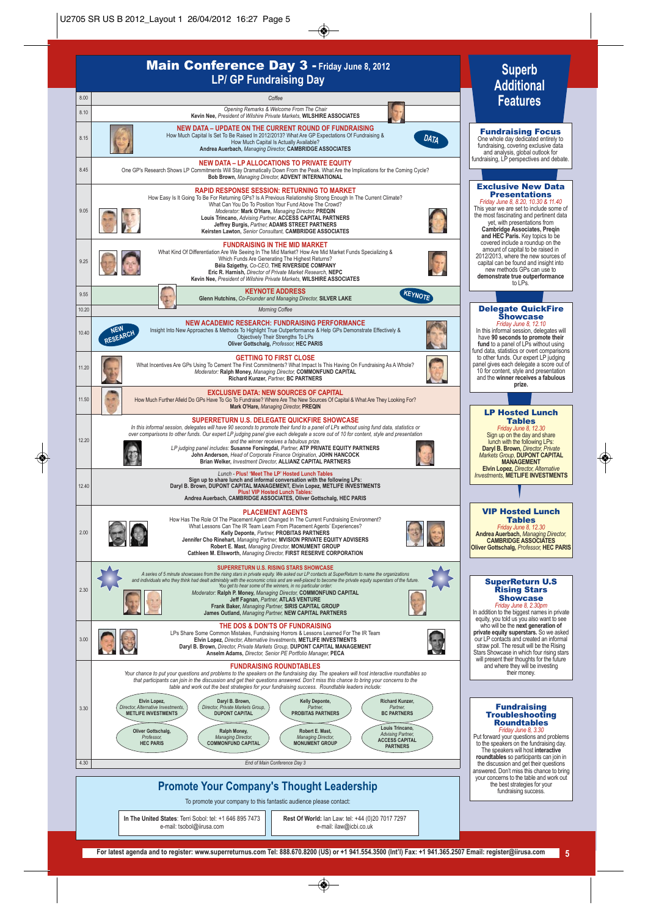



**Rest Of World:** Ian Law: tel: +44 (0)20 7017 7297 e-mail: ilaw@icbi.co.uk

**In The United States**: Terri Sobol: tel: +1 646 895 7473 e-mail: tsobol@iirusa.com

**Superb**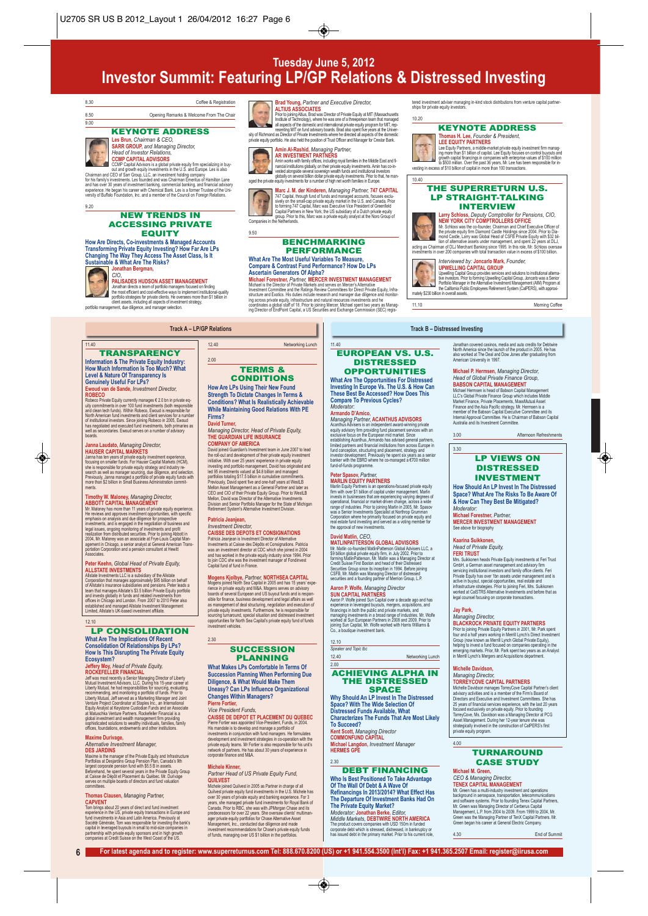# **Tuesday June 5, 2012 Investor Summit: Featuring LP/GP Relations & Distressed Investing**

**Brad Young, Partner and Executive Director,<br>ALTIUS ASSOCIATES**<br>Prior to pining Altus, Brad was Director of Private Equity at MIT (Massachusetts)<br>This Prior to pining Altus, Brad was Director of Partners and and the<br>alta g private equity portfolio. He also held the position of Trust Officer and Manager for Crestar Bank. **Amin Al-Rashid,** *Managing Partner,* AR INVESTIMENT PART INCRESS<br>Amm works with family offices, including royal families in the Middle East and family offices<br>Amm works with family offices problem and family one standard week and restational considerably cons



### 8.30 Coffee & Registration

8.50 Opening Remarks & Welcome From The Chair 9.00

### KEYNOTE ADDRESS



**Les Brun,** *Chairman & CEO,*  **SARR GROUP,** *and Managing Director, Head of Investor Relations,*

**CCMP CAPITAL ADVISORS**<br>CCMP Capital Advisors is a global p Coult Capital Advances is a good private equity limit specializing in our-<br>collained control out and growth equity investments in the U.S. and Europe. Les is also<br>Chairman and CEO of Sar Group, LLC, an investment holding c

9.20

#### NEW TRENDS IN ACCESSING PRIVATE EQUITY

**Transforming Private Equity Investing? How Far Are LPs Changing The Way They Access The Asset Class, Is It Sustainable & What Are The Risks? Jonathan Bergman,**



11.40

### *CIO,* **PALISADES HUDSON ASSET MANAGEMENT**

**TRANSPARENCY Information & The Private Equity Industry: How Much Information Is Too Much? What Level & Nature Of Transparency Is Genuinely Useful For LPs? Ewoud van de Sande,** *Investment Director,*

ROBECO<br>
ROBECO Private Equity currently manages € 2.0 bn in private equity<br>
why committents in over 100 knot investments (both responsible for<br>
and chan tech funds). Within Robeco, Ewoud is responsible for<br>
of restabilitie

**Janna Laudato, Managing Director,<br>HAUSER CAPITAL MARKETS**<br>Jamna has ten years of private equity investment experience,<br>Jamna has ten years of private equity investment experience,<br>blocaing on smaller function series Capit

ABBOTT CAPITAL MANAGEMONT TO the study experience.<br>MR Moloney has more than 11 years of private equity experience.<br>He reviews and approves investment coportunities, with specific<br>emphasis on analysis and due diligence for

**Timothy W. Maloney,** *Managing Director,*

Jonathan directs a team of portfolio managers focused on indring<br>the most efficient and cost-effective ways to implement institutional-quality<br>portfolio strategies for private clients. He oversees more than \$1 billion in<br>p

**How Are Directs, Co-investments & Managed Accounts**

**Marc J. M. der Kinderen,** *Managing Partner, 747 CA***PITAL<br><sup>747</sup> Capital, through fund of funds and managed accounts, focuses exclu-<br>sively on the small-cap private equity market in the U.S. and Canada. Prior<br>to forming 747** Companies in the Netherlands.

#### BENCHMARKING PERFORMANCE

# **What Are The Most Useful Variables To Measure,**

Compare & Contrast Fund Performance? How Do LPs<br>Ascertain Generators Of Alpha?<br>Michael Forestmer, Partner, MERCER INVESTMENT MANAGEMENT<br>Michael Forestmer, Partner, MERCER INVESTMENT MANAGEMENT<br>Investment Committee and the

10.20

10.40

Portfolio Manager in the Alternative Investment Management (AIM) Program at<br>the California Public Employees Retirement System (CalPERS), with approxi-<br>mately \$230 billion in overall assets. 11.10 Morning Coffee

tered investment adviser managing in-kind stock distributions from venture capital partner-ships for private equity investors.

KEYNOTE ADDRESS **Thomas H. Lee,** *Founder & President,* **LEE EQUITY PARTNERS**<br>Lee Equity Partners, a middle-market private equity investment firm manag-Lee Equity Partners, a middle-market private equity investment firm manage of the Equity American control buyouts and growth capital financings in companies with enterprise values of \$100 million (apital financings in comp

THE SUPERRETURN U.S. LP STRAIGHT-TALKING INTERVIEW

acting as Chairman of DLJ Merchant Banking since 1995. In this role, Mr. Schloss oversaw investments in over 200 companies with total transaction value in excess of \$100 billion.

Larry Schloss, *Deputy Comptroller for Pensions, CIO,*<br>NEW YORK CITY COMPTROLLERS OFFICE<br>M: Schloss was the co-founder, Chairman and Chief Executive Officer of<br>the private equity firm Diamond Castle Holdings since 2004. Pr

Interviewed by: **Joncarlo Mark**, Founder,<br>**UPWELLING CAPITAL GROUP**<br>Upwelling Capital Group provides services and solutions to institutional alterna<br>tive investors. Prior to forming Upwelling Capital Group, Joncarlo was a

**Track A – LP/GP Relations Track B – Distressed Investing**

### 11.40 EUROPEAN VS. U.S. DISTRESSED

**OPPORTUNITIES**<br>What Are The Opportunities For Distressed **What Are The Opportunities For Distressed Investing In Europe Vs. The U.S. & How Can These Best Be Accessed? How Does This Compare To Previous Cycles?** *Moderator:* 

**Armando D'Amico,** *Managing Partner,* **ACANTHUS ADVISORS** Acarlhus Advisers is an independent award-winning private<br>equity advisory firm providing fund primate services with an<br>establishing Acarlhus, Armando has advised general partners,<br>establishing Acarlhus, Armando has advised

### **Peter Spasov, Partner,<br>MARLIN EQUITY PARTNERS**

**MARLIN EQUITY PARTNERS**<br>
Marlin Equity Partners is an operations-focused private equity<br>
firm with over \$1 bilion of capital under management. Marlin<br>
invests in businesses that are experiencing varying degrees of<br>
prevai

David Mattlin, CEO, CODAL ADVISORS<br>MATLINPATTERSON GLOBAL ADVISORS<br>M: Matlin co-founded MatlinPatterson Global Advisers LLC, a<br>St billon global private equily firm, in July 2002. Prior to<br>forming MatlinPatterson, Mr. Matli

### **Aaron P. Wolfe,** *Managing Director* **SUN CAPITAL PARTNERS**

Aaron P. Wolfe joined Sun Capital over a decade ago and has experience in leveraged buyouts, mergers, acquisitions, and financings in both the public and private markets, and<br>managing investments in a broad range of industries. Mr. Wolfe<br>worked at Sun European Partners in 2008 and 2009. Prior to<br>joining Sun Capital, Mr. Wolfe worked with Ha

12.10 *Speaker and Topic tbc*

12.40 Networking Lunch

#### ACHIEVING ALPHA IN THE DISTRESSED SPACE

**Why Should An LP Invest In The Distressed Space? With The Wide Selection Of Distressed Funds Available, What Characterizes The Funds That Are Most Likely To Succeed? Kent Scott,** *Managing Director* **COMMONFUND CAPITAL Michael Langdon,** *Investment Manager* **HERMES GPE**

#### 2.30

2.00

#### DEBT FINANCING

**Who Is Best Positioned To Take Advantage Of The Wall Of Debt & A Wave Of Refinancings In 2013/2014? What Effect Has The Departure Of Investment Banks Had On The Private Equity Market?** *Moderator:* **Jonathan Berke,** *Editor, Middle Markets,* **DEBTWIRE NORTH AMERICA**

The product covers companies with USD 150m in funded corporate debt which is stressed, distressed, in bankruptcy or has issued debt in the primary market. Prior to his current role,

Jonathan covered casinos, media and auto credits for Debtwire North America since the launch of the product in 2005. He has also worked at The Deal and Dow Jones after graduating from American University in 1997.

### **Michael P. Hermsen,** *Managing Director, Head of Global Private Finance Group,* **BABSON CAPITAL MANAGEMENT** Michael Hermsen is head of Babson Capital Management LLC's Global Private Finance Group which includes Middle Market Finance, Private Placements, MassMutual Asset

Finance and the Asia Pacific strategy. Mr. Hermsen is a member of the Babson Capital Executive Committee and its Internal Approval Committee. He is Chairman of Babson Capital Australia and its Investment Committee.

3.00 Afternoon Refreshments

#### LP VIEWS ON **DISTRESSED** INVESTMENT

**How Should An LP Invest In The Distressed Space? What Are The Risks To Be Aware Of & How Can They Best Be Mitigated?** *Moderator:*  **Michael Forestner,** *Partner,*

**MERCER INVESTMENT MANAGEMENT** See above for biography

### **Kaarina Suikkonen,<br>Head of Private Equity.**

3.30

 ${\sf Head~of~Private~Equity},$ <br> ${\sf HerRI~TRUE}$   ${\sf TRUSP}$   ${\sf E}_\mathtt{CMB}$   ${\sf E}_\mathtt{CMB}$  investments at Feri Trust<br>Mrs. Suikkonen heads Private Equity investments at Feri Trust<br>GmbH, a German asset management and advisory firm<br> ${\sf S}_\mathtt{PWW}$  as the m

### **Jay Park,<br>Managing Director,**

Managing Director,<br>BLACKROCK PRIVATE EQUITY PARTNERS<br>Prior to joining Private Equity Partners in 2001, Mr. Park spent<br>four and a half years working in Merrill Lynch's Direct Investment<br>Group (now known as Merrill Lynch's G emerging markets. Prior, Mr. Park spent two years as an Analyst in Merrill Lynch's Mergers and Acquisitions department.

### **Michelle Davidson,**

**Managing Director,<br>TORREY COVE CAPITAL PARTNERS**<br>TORREY COVE CAPITAL PARTNERS<br>Michele Davidson manages TorreyCove Capital Partner's clien<br>advisory activities and is a member of the Firms Board of<br>Directors and Executive a

### **TURNAROUND** CASE STUDY

### **Michael M. Green,**

4.00

*CEO & Managing Director,*

TENEX CAPITAL MANAGEMENT<br>Mr. Green has a mulli-industry investment and operations<br>background in aerospoes, transportation, lelecommunications<br>and software systems. Prior to founding Tenex Capital Partners,<br>Mr. Green was Ma

4.30 End of Summit

#### TERMS & **CONDITIONS How Are LPs Using Their New Found**

12.40 Networking Lunch

9.50

**Strength To Dictate Changes In Terms & Conditions? What Is Realistically Achievable While Maintaining Good Relations With PE Firms?**

**David Turner,**  *Managing Director, Head of Private Equity,*

COMPANY OF AMERICA measurement team in June 2007 to lead<br>David pinned Guardian's Investment team in June 2007 to lead<br>the nolicult and development of their private equity investment<br>initiality. With over 25 years' experien

eanjean is Investment Director<br>1ts at Caisse des Dépôts et Co

**Peter Keehn, Global Head of Private Equity,<br>ALLSTATE INVESTIMENTS**<br>All-ISTATE INVESTIMENTS<br>Corporation that manages approximately \$95 billion on behalf<br>Corporation that manages approximately \$95 billion on behalf<br>Corporat

**What Are The Implications Of Recent Consolidation Of Relationships By LPs?**

How Is This Disrupting The Private Equity<br>
Ecoxystem?<br>
Leffery Moy, Head of Private Equity,<br>
ROCKEFELLER FINANCIAL<br>
Alternation Section Content of the System Content of the System<br>
Multail Investment Advisors, I.L.C. Durin

# **Maxime Durivage,**

Alternative Investment Manager,<br>DES JARDINS<br>Naxime is the manager of the Private Equity and Infrastructure<br>Portolios at Desjardins Group Pension Pian, Canada's 9th<br>largest corporate pension fund with \$5.5 B in assets.<br>Berb

# **Thomas Clausen,** *Managing Partner,*

CAPVENT and compared of the conditional metallic methods of the comparation of the US, private equily the rasculosition function function function function function function function function function for the comparable fo

### 12.10 LP CONSOLIDATION

2.30 SUCCESSION PLANNING

### **What Makes LPs Comfortable In Terms Of Succession Planning When Performing Due**

**Diligence, & What Would Make Them Uneasy? Can LPs Influence Organizational Changes Within Managers?**

### **Pierre Fortier,**  *Vice President Funds,*

investment vehicles.

CAISSE DE DEPOT ET PLACEMENT DU QUEBEC<br>Perre Fortier was appointed Vice-President, Funds, in 2004.<br>His mandata is to develop and manage a portolio of<br>mivestments in conjunction with fund manages. He formulates<br>development

#### **Michele Kinner,**

*Partner Head of US Private Equity Fund,* **QUILVEST**<br>Michaele joined Quilvest in 2005 as Partner in charge of all<br>Quilvest private equity fund investments in the U.S. Michale has<br>over 30 years of private equity and banking experience. For 3<br>years, she managed priv predecessors for ower 22 years. She oversaw clients' multiman-<br>ager private equity portfolios for Chase Alternative Asset<br>Management, Inc., conducted due diligence and made<br>investment recommendations for Chase's private eq



**THE GUARDIAN LIFE INSURANCE**

#### **Patricia Jeanjean,**

2.00

*Investment Director,*

# **CAISSE DES DEPOTS ET CONSIGNATIONS**<br> **Patricia Jeaniean is Investment Director of Alternative**

Investments at Caisse des Dépôts et Consignations. Patricia<br>was an investment director at CDC which she joined in 2004<br>and has worked in the private equity industry since 1994. Prior<br>to join CDC she was the investment mana Capital fund of fund in France.

# **Mogens Kjolbye,** *Partner,* **NORTHSEA CAPITAL** Mogens joineal North Sea Capital in 2005 and has 15 years' experience<br>frence in private equity and M&A. Mogens serves on advisory<br>boards of several European and US buyout funds and is responsible for finance, business deve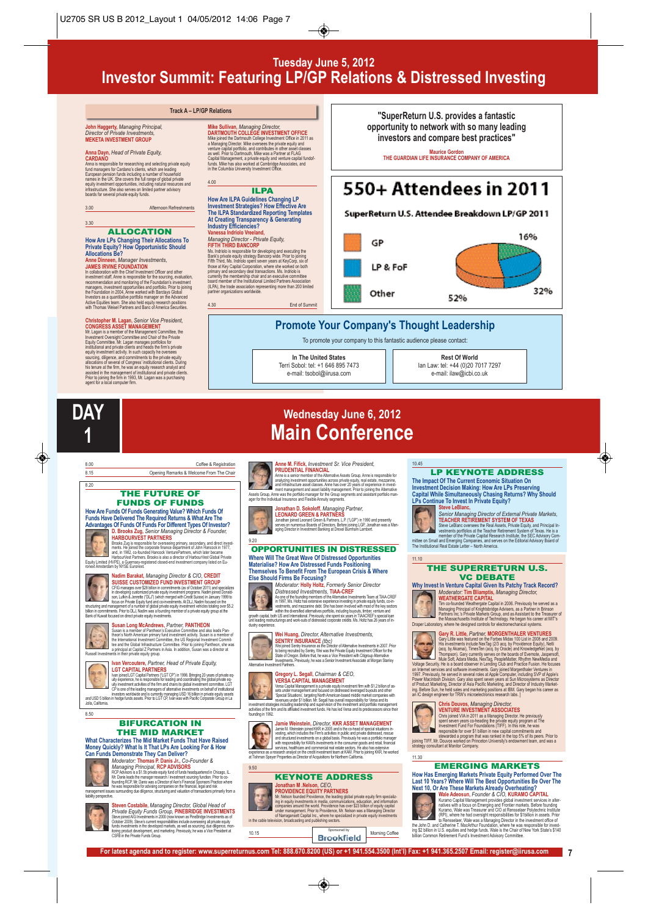## **Tuesday June 5, 2012 Investor Summit: Featuring LP/GP Relations & Distressed Investing**

### **John Haggerty,** *Managing Principal, Director of Private Investments,* **MEKETA INVESTMENT GROUP**

## **Anna Dayn,** *Head of Private Equity,* **CARDANO**

Anna is responsible for researching and selecting private equity<br>fund managers for Cardano's clients, which are leading<br>European pension funds including a number of household<br>rames in the UK. She covers the full range of g

3.00 Afternoon Refreshments

3.30

# ALLOCATION **How Are LPs Changing Their Allocations To Private Equity? How Opportunistic Should Allocations Be?**

**Anne Dinneen, Manager Investments,<br>Anne Dinneen, Manager Investments, and other construction with the Chief Investment officer and other members<br>investment staff, Anne is responsible for the sourcing, evaluation,<br>measurem** 

**Christopher M. Lagan, Senior Vice President,<br>CONGRESS ASSET MANAGEMENT<br>CONGRESS ASSET MANAGEMENT<br>M. Lagan is a member of the Management Committee, the<br>mustainent Oversight Committee and Chair of the Private<br>Equity Committ** 

8.00 Coffee & Registration 8.15 Opening Remarks & Welcome From The Chair

THE FUTURE OF FUNDS OF FUNDS **How Are Funds Of Funds Generating Value? Which Funds Of Funds Have Delivered The Required Returns & What Are The Advantages Of Funds Of Funds For Different Types Of Investor? D. Brooks Zug,** *Senior Managing Director & Founder,*

HARBOURVEST PARTNERS<br>and consider a model of the constant of the constant and direct investigation of the constant of the constant of the constant of the constant of the constant of the constant of the constant of the cons

structuring and management of a number of global private equity investment vehicles totaling over \$5.2<br>billion in commitments. Prior to DLJ, Nadim was a founding member of a private equity group at the<br>Bank of Kuwait focus **Susan Long McAndrews,** *Partner,* **PANTHEON** Susan is a member of Panfleon's Executive Committee and also leads Pan-<br>theoris North American primary fund investment activity. Susan is a member of<br>the International Investment Committee, the US Regional Investment Commi **Ivan Vercoutere,** *Partner, Head of Private Equity,*

LGT CAPITAL PARTNERS<br>
Van picel CiTCP (and Partners (CiTCP) in 1998. Bringing 20 years of private equily<br>
unity operations, he is responsible for leading and conditional the original capital private equily operations of th

BIFURCATION IN THE MID MARKET **What Characterizes The Mid Market Funds That Have Raised Money Quickly? What Is It That LPs Are Looking For & How Can Funds Demonstrate They Can Deliver?** *Moderator:* **Thomas P. Danis Jr.,** *Co-Founder &* Managying Principla), RCP AND MOS NEWS ASSES (RCP AND STATE SCRIP), RCP AREAS (RCP AND STATE SCRIP), WE CAN SERVER AND MANAGEMENT CONTRACT PRIOR CONTRACT PRIOR ON THE CONTRACT PRIOR OF THE CONTRACT PRIOR OF THE CONTRACT PR

**Steven Costabile,** *Managing Director, Global Head of* 

**Nadim Barakat,** *Managing Director & CIO,* **CREDIT SUISSE CUSTOMIZED FUND INVESTMENT GROUP**<br>CFIG manages over \$26 bilion in commitments (as of October 2011) and specializes<br>in developing customized private equity investment programs. Nadim joined Donald-<br>son, Luftin & Jer

**Mike Sullivan, Managing Director, The New Sullivan, Managing Director, NAN INDEX THAN MARY TO PROFINE MARY AND SULLING THE VIDEO THAN MARY SURFAINING THE VIDEO THAN MARY SURFAINING THAN THAN THAN THAN THAN MARY SURFAINING** 4.00 **ILPA** 

**How Are ILPA Guidelines Changing LP Investment Strategies? How Effective Are The ILPA Standardized Reporting Templates At Creating Transparency & Generating Industry Efficiencies?**

**Vanessa Indriolo Vreeland,** *Managing Director - Private Equity,* **FIFTH THIRD BANCORP** Ms. Indindo is responsible bri developing and seculting the<br>Bank's private equity strategy Bancorp wide. Pricin bing allows the<br>Bank's private equity strategy Bancorp wide. Pricing the most<br>of the most of the comparation,

End of Summit

**Track A – LP/GP Relations "SuperReturn U.S. provides a fantastic opportunity to network with so many leading investors and compare best practices"**

**Maurice Gordon THE GUARDIAN LIFE INSURANCE COMPANY OF AMERICA**

# 550+ Attendees in 2011

### SuperReturn U.S. Attendee Breakdown LP/GP 2011



## **Promote Your Company's Thought Leadership**

To promote your company to this fantastic audience please contact:



**Rest Of World** Ian Law: tel: +44 (0)20 7017 7297 e-mail: ilaw@icbi.co.uk



8.20

X

A

8.50

managenne.<br>liability persp

# **Wednesday June 6, 2012 Main Conference**

**AMERICAL PRODUCTION ACCEPT AND ACCEPT ACCEPT AND ACCEPT ACCEPT AND ACCEPT ACCEPT AND ACCEPT ACCEPT ACCEPT ACCEPT ACCEPT ACCEPT ACCEPT ACCEPT ACCEPT ACCEPT ACCEPT ACCEPT ACCEPT ACCEPT ACCEPT ACCEPT ACCEPT ACCEPT ACCEPT ACC** 



**Jonathan D. Sokoloff,** *Managing Partner,*<br>LEONARD GREEN & PARTNERS<br>Jonathan joined Leonard Green & Partners, L.P. ("LGP") in 1990 and presently<br>Jonathan joined Leonard Green & Partners, L.P. ("LGP") in 1990<br>aging Directo

#### 9.20 OPPORTUNITIES IN DISTRESSED **Where Will The Great Wave Of Distressed Opportunities Materialise? How Are Distressed Funds Positioning Themselves To Benefit From The European Crisis & Where**



**Else Should Firms Be Focusing?** *Moderator:* **Holly Holtz,** *Formerly Senior Director* 

Discrete short difference for the started properties of the AC-CREF (AC-CREF ASSOC) in 1997, Net for the found numeries of the Allematic Presentation Table 7, the first has externed to meet the meeting in prodite contract

**Wei Huang, Director, Alternative Investments,<br>
SERVIRY INSURANCE (foc)**<br>
We joined Smithy Insurance as the Director of Alternative Investments in 2007. Prior<br>
We joined Smithy INSURANCE (for the contract Office Strait Pol





**Gregory L. Segall, Chairman & CEO,<br>VERSA CAPITAL MANAGEMENT**<br>Versa Capita Management is a private equity investment firm with \$1.2 bilion of as<br>sets under management is a private equity investment firm with \$1.2 bilion of restment strategies including leadership and supervision of the investment and portfolio management<br>tivities of the firm and its affliated investment funds. He has led Versa and its predecessors since their activities of the firm and its affiliated investment funds. He has led Versa and its predecessors since their founding in 1992.

### **Jamie Weinstein,** *Director,* **KKR ASSET MANAGEMENT**



Jamie M. Weinstein pined KKR in 2005 and is the co-head of special shuations in-<br>vesting, which includes the Firm's activities in public and private distressed, rescue<br>and shuctured investments on a global basis. Previousl

experience as a research analyst on the credit investment team at KAM. Prior to joining KKR, he worked at Tishman Speyer Properties as Director of Acquisitions for Northern California. 9.50

#### KEYNOTE ADDRESS **Jonathan M .Nelson,** *CEO,*

**PROVIDENCE EQUITY PARTIFIERS**<br>Mr. Nelson founded Providence, the leading plobal private equity firm specializers<br>ing negative means the world. Providence in section and information<br>companies around the world. Providence h

#### 10.45 LP KEYNOTE ADDRESS

**The Impact Of The Current Economic Situation On Investment Decision Making: How Are LPs Preserving Capital While Simultaneously Chasing Returns? Why Should LPs Continue To Invest In Private Equity?**



Steve LeBlanc, and Director of External Private Markets,<br>
TEACHER RETIREMENT SYSTEM OF TEXAS<br>
Since LeBlanc oversess the Real Assets Private Equity and Principal In-<br>
vestments portions at the Teacher Realitering System of

#### THE SUPERRETURN U.S. VC DEBATE

**Why Invest In Venture Capital Given Its Patchy Track Record?** *Moderator:* **Tim Bliamptis,** *Managing Director,* **WEATHERGATE CAPITAL**

Tim co-founded Weathergate Capital in 2006. Previously he served as a<br>Managing Principal of Knightsbridge Advisers, as a Partner in Brinson<br>Partners Inc.'s Private Markets Group, and as Assistant to the Treasurer o<br>the Mas



11.10

D

Daper Laboratory, where he designed controls for electromechanical systems.<br>
Grapy R. Little, Partner, MORGENTHALER VENTURES<br>
Grapy Little was featured on the Forbas Midsa 100 List in 2008 and 2009.<br>
His ameteristic proble



**Chris Douver S. Managing Director.**<br> **Chris Chris School Andre S. Consequence**<br> **Chris School VIA in 2011 as a Managing Director. He previously<br>
specified the managing the many capital commitments and<br>
Interspecified by t** 

11.30

#### EMERGING MARKETS



How Has Emerging Markets Private Equity Performed Over The<br>Last 10 Years? Where Will The Best Opportunities Be Over The<br>Next 10, Or Are These Markets Already Overheating?<br>Next 10, Or Are These Markets Already Overheating?<br>





**For latest agenda and to register: www.superreturnus.com Tel: 888.670.8200 (US) or +1 941.554.3500 (Int'l) Fax: +1 941.365.2507 Email: register@iirusa.com 7**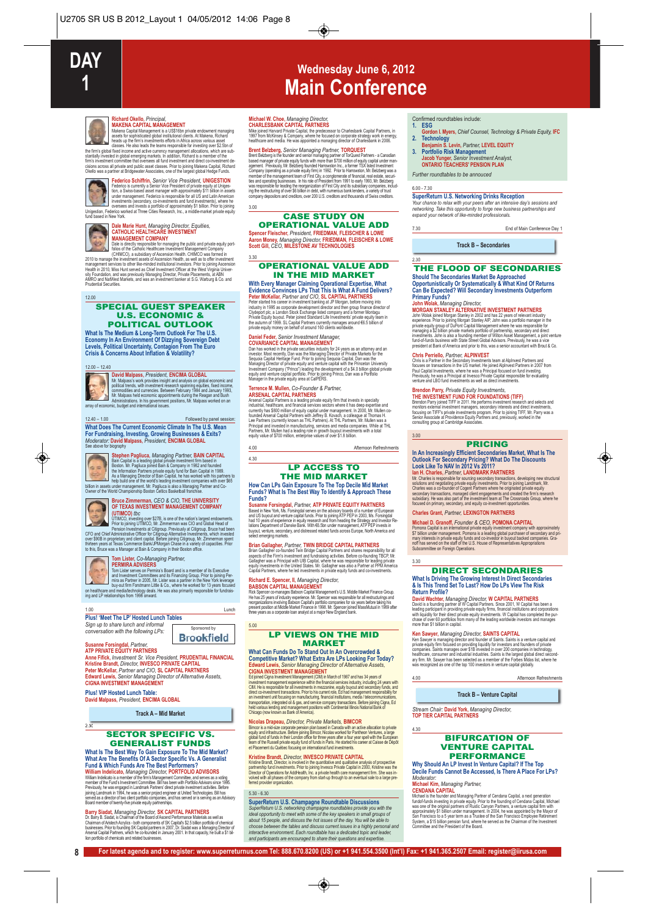

**Richard Okello, Principal, Charly Charles Manufacture (MANGEMENT)**<br>
MAKENA CAPITAL MANAGEMENT<br>
Makena Capital Management is a US\$16bn private endowment managing<br>
asses for sophisticated global institutional clients. Al Ma cisions across all private and public asset classes. Prior to joining Makena Capital, Richard Okello was a partner at Bridgewater Associates, one of the largest global Hedge Funds.



Federico Schifffrin, Senior Vice President al public ESTION<br>Federico is currently a Senior Vice President of private equity at Uniters<br>under management. Federico is responsible for all US and Latin American<br>under managemen

# **Dale Marie Hunt,** *Managing Director, Equities,* **CATHOLIC HEALTHCARE INVESTMENT**



**MANAGEMENT COMPANY**<br>Dale is directly responsible for managing the public and private equity port-<br>folios of the Catholic Healthcare Investment Management Company<br>(CHIMCO), a subsidiary of Ascension Health. CHIMCO was form

2010 to manage the investment assets of Ascension Health, as well as to offer investment<br>management services to other like-minded institutional investors. Prior to joining Ascension<br>Health in 2010, Miss Hunt served as Chie Prudential Securities.

#### SPECIAL GUEST SPEAKER U.S. ECONOMIC & POLITICAL OUTLOOK

What Is The Medium & Long-Term Outlook For The U.S.<br>Economy In An Environment Of Dizzying Sovereign Debt<br>Levels, Political Uncertainty, Contagion From The Euro<br>Crisis & Concerns About Inflation & Volatility?

#### 12.00 – 12.40

12.00



David Malpass, President, ENCIMA GLOBAL<br>
Mr. Malpass's work provides insight and analysis on global economic and<br>
political tends, with meether at research sparning equilies, fixed income,<br>
commodites and currencies. Betwe

12.40 – 1.00 Followed by panel session: **What Does The Current Economic Climate In The U.S. Mean For Fundraising, Investing, Growing Businesses & Exits?** *Moderator:* **David Malpass,** *President,* **ENCIMA GLOBAL**



# See above for biography<br>
Stephen Pagiluca, Managing Partner, BAIN CAPITAL<br>
Bain Capital is a leading global private investment firm based in<br>
Basion. Are Pagiuca iponed Bain & Company in 1982<br>
the information Partners priv



# **Bruce Zimmerman,** *CEO & CIO,* **THE UNIVERSITY OF TEXAS INVESTMENT MANAGEMENT COMPANY**

UTIMOO) for example and the nation's largest endowments.<br>
THOCO) investing over \$278, is one of the nation's largest endowments.<br>
Pension investments at Citigroup. Previously at Citigroup, Bruce had been<br>
CFO and Chief Adm



2.30

### **Tom Lister,** *Co-Managing Partner,*

**PERMIRA ADVISERS**<br>Tom Lister serves on Permira's Board and is a member of its Executive<br>and Investment Committees and its Financing Group. Prior to joining Per-<br>mina as Partner in 2005, Mr. Lister was a partner in the New

Sponsored by

**Brookfield** 

#### 1.00 Lunch **Plus! 'Meet The LP' Hosted Lunch Tables**

Sign up to share lunch and inforn *conversation with the following LPs:*

### **Susanne Forsingdal,** *Partner,* **ATP PRIVATE EQUITY PARTNERS**

**Anne Fifick,** *Investment Sr. Vice President,* **PRUDENTIAL FINANCIAL Kristine Brandt,** *Director,* **INVESCO PRIVATE CAPITAL Peter McKellar,** *Partner and CIO,* **SL CAPITAL PARTNERS Edward Lewis,** *Senior Managing Director of Alternative Assets,* **CIGNA INVESTMENT MANAGEMENT**

**Plus! VIP Hosted Lunch Table:**

**David Malpass,** *President,* **ENCIMA GLOBAL**

**Track A – Mid Market**

#### SECTOR SPECIFIC VS. GENERALIST FUNDS

**What Is The Best Way To Gain Exposure To The Mid Market? What Are The Benefits Of A Sector Specific Vs. A Generalist**

**Fund & Which Funds Are The Best Performers?**<br>**William Indelicato, Managring Director, PORTFOLIO ADVISORS**<br>**William Indelicato, Managring Director, PORTFOLIO ADVISORS**<br>member of the Funds Investment Committee. Bill has bee

**Barry Siadat, Managring Director, SK CAPITAL PARTNERS**<br>Dr. Barry B. Stadat, is Chairman of the Board of Asce**rd Performance Materials as well as**<br>Chairman of Aristech Acrylics - both components of SK Capital's \$25 billion

### **Michael W. Choe,** *Managing Director,*

3.00

**CHARLESBANK CAPITAL PARTNERS**<br>Mike joined Harvard Private Capital, the predecessor to Charlesbank Capital Partners, in<br>1997 from McKinsey & Company, where he focused on corporate strategy work in energy.<br>healthcare and me

**Wednesday June 6, 2012 Main Conference**

**Brent Belzberg, Sonior Amagning Partners ToRQUEST**<br>Brent Belzberg is the founder and senior managing partner of TorQuEST Partners - a Canadian<br>based manager of private equity function and partners in the company constrain

### CASE STUDY ON OPERATIONAL VALUE ADD

**Spencer Fleischer,** *President,* **FRIEDMAN, FLEISCHER & LOWE Aaron Money,** *Managing Director,* **FRIEDMAN, FLEISCHER & LOWE Scott Gill,** *CEO,* **MILESTONE AV TECHNOLOGIES** 3.30

#### OPERATIONAL VALUE ADD IN THE MID MARKET

With Every Manager Claiming Operational Expertise, What<br>Evidence Convinces LPs That This Is What A Term (Delivers?<br>Peter McKellar, *Partner and CIO*, SL CAPITAL PARTNERS<br>Peter started his career in investment banking at JP

**Daniel Feder, Senior Investment Manager,<br>COVARIANCE CAPITAL MANAGEMENT<br>Dan has worked in the private securities industry for 24 years as an altomey and an<br>Investor. Most recently, Dan was the Managing Director of Private** 

### **Terrence M. Mullen,** *Co-Founder & Partner,*

ARSENAL CAPITAL PARTNERS<br>ASSENAL CAPITAL PARTNERS<br>Assent Capital Partners is a leading private equity firm that invests in specialty<br>constraint, the state manufacture and function construction of complete<br>constraints of th

4.00 Afternoon Refreshments

4.30

5.00

#### LP ACCESS TO THE MID MARKET

# **How Can LPs Gain Exposure To The Top Decile Mid Market Funds? What Is The Best Way To Identify & Approach These**

# Funds?<br>Susanne Forsingdal, *Partner, A*TP PRIVATE EQUITY PARTNERS<br>Based in New York, Ms. Forsingdal serves on the advisory boards of a number of European<br>and 15 buyout and venture capital funds. Prior to pinning ATP PEP in buyout, venture, secondary, and distres<br>select emerging markets.

**Brian Gallagher,** *Partner,* **TWIN BRIDGE CAPITAL PARTNERS**

Brian Gallagher co-founded Twin Bridge Capital Partners and shares responsibility for all<br>aspects of the Firm's investment and fundraising activities. Before co-founding TBCP, Mr.<br>Gallagher was a Principal with UIB Capital

Richard E. Spencer, II, *Managing Director,*<br>BARSON CAPITAL MANAGEMENT<br>Hot Spencer co-manages Babson Capital Management's U.S. Middle Market Finance Group.<br>He has 25 years of mulativ experience. Mr. Spencer was responsible three years as a corporate loan analyst at a major New England bank

LP VIEWS ON THE MID MARKET

# **What Can Funds Do To Stand Out In An Overcrowded &**

Competitive Market? What Extra Are LPs Looking For Today?<br>Edward Lewis, Senior Managing Director of Alternative Assets<br>CIGNA INVESTMENT MANAGEMENT<br>CONDATIVES TRIGHT INTO A CONSIDENCIAL CONSIDERATION CONDITIONS<br>Incident Con

Nicolas Drapeau, Director, Private Markets, a BMC Markets, and Constantinoperation is a private composite persion paints and comparation in the state of the state of the state of the state of the state of the state of the

Kristine Brandt, Director, INVESCO PRIVATE CAPITAL<br>Kristine Brandt, Director, is involved in the quantitative and qualitative analysis of prospective<br>partneship fund investments. Prior to pining invesco Private Capital in

5.30 - 6.30<br>SuperReturn U.S. Champagne Roundtable Discussions<br>SuperReturn U.S. networking champagne roundtables provide you with the<br>ideal opportunity to meet with some of the key speakers in small groups of<br>about 15 peopl *interactive environment. Each roundtable has a dedicated topic and leader, and participants are encouraged to share their questions and expertise.*

**8 For latest agenda and to register: www.superreturnus.com Tel: 888.670.8200 (US) or +1 941.554.3500 (Int'l) Fax: +1 941.365.2507 Email: register@iirusa.com**

#### Confirmed roundtables include:<br>1 FSG **1. ESG**

- **Gordon I. Myers,** *Chief Counsel, Technology & Private Equity,* **IFC**
- **2. Technology Benjamin S. Levin,** *Partner,* **LEVEL EQUITY**
- **3. Portfolio Risk Management Jacob Yunger,** *Senior Investment Analyst,* **ONTARIO TEACHERS' PENSION PLAN**

#### *Further roundtables to be annouced*

6.00 - 7.30

**SuperReturn U.S. Networking Drinks Reception**<br>Your chance to relax with your peers after an intensive day's sessions and<br>networking. Take this opportunity to forge new business partnerships and<br>expand your network of like

7.30 End of Main Conference Day 1

**Track B – Secondaries**

#### 2.30 THE FLOOD OF SECONDARIES

**Should The Secondaries Market Be Approached Opportunistically Or Systematically & What Kind Of Returns Can Be Expected? Will Secondary Investments Outperform Primary Funds?**<br>John Wolak Mana

**John Wolak,** *Managing Director,* MORGAN STANLEY ALTERNATIVE INVESTMATE ARE AND A CONTRATES.<br>
John Wolak pined Morgan Stanley in 2002 and has 22 years of relevant industry<br>
experience. Prior to joining Morgan Stanley AR, John was a portfolio management<br>
pr

#### **Chris Perriello,** *Partner,* **ALPINVEST**

Chris is a Partner in the Secondary Investments team at Alphrivest Partners and<br>focuses on transactions in the US market. He joined Alphrivest Partners in 2007 from<br>Paul Capital Investments, where he was a Principal focuse

#### **Brendon Parry,** *Private Equity Investments,*

THE INVESTMENT FUND FOR POWDATIONS (TIFF)<br>Bendon Pary joined TIFF in 2011. He performs investment research and selects and<br>monitors external investment managers, secondary interests and direct investments,<br>focusing on TIFF

3.00

#### PRICING

# **In An Increasingly Efficient Secondaries Market, What Is The Outlook For Secondary Pricing? What Do The Discounts Look Like To NAV In 2012 Vs 2011?**

lan H. Charles, *Partner, LANDMARK PARTNERS*<br>M. Charles, *Partner, LANDMARK PARTNERS*<br>M. Charles responsible for sourcing secondary transactions, developing new structura<br>solutions and regotialing private equity investment

#### **Charles Grant,** *Partner,* **LEXINGTON PARTNERS**

Michael D. Granoff, Founder & CEO, POMONA CAPITAL<br>Pomona Capital is an international private equity investment company with approximately<br>37 billion under management. Pomona is a leading global purchaser of secondary and p

3.30

4.30

*Moderator:*

#### DIRECT SECONDARIES

**What Is Driving The Growing Interest In Direct Secondaries & Is This Trend Set To Last? How Do LPs View The Risk Return Profile?**

David Wachter, Managing Directors, WCAPTIAL PARTNERS<br>David is a founding partner of WCapital Partners. Since 2001, WCapital has been a<br>leading participant in providing private equity firms, financial institutions and corpo

*Stream Chair:* **David York,** *Managing Director,* **TOP TIER CAPITAL PARTNERS**

**Michael Kim,** *Managing Partner,*

Ken Sawyer, Managing Director, SAMITS CAPITAL<br>Ken Sawyer, Managing Director and bunder of Saints is a venture capital and<br>private equity firm focused on providing liquidity for investors and founders of private<br>promparies.

4.00 Afternoon Refreshments

**Track B – Venture Capital**

BIFURCATION OF VENTURE CAPITAL PERFORMANCE **Why Should An LP Invest In Venture Capital? If The Top Decile Funds Cannot Be Accessed, Is There A Place For LPs?**

CENDANA CAPITAL<br>Michael is the founder and Managing Partner of Cendana Capital, a next generation<br>funded-funds investing in private equity. Prior to the founding of Cendana Capital, Michael was one of the original partners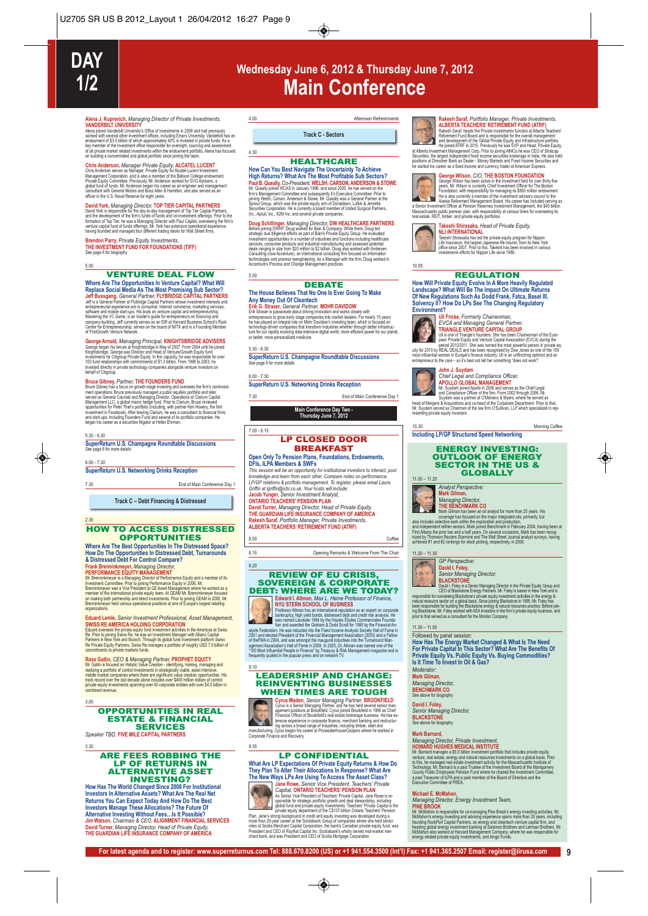# **Wednesday June 6, 2012 & Thursday June 7, 2012 Main Conference**

**Alena J. Kuprevich,** *Managing Director of Private Investments,* **VANDERBILT UNIVERSITY** Alena joined Vanderbilt University's Office of Investments in 2008 and had previously

worked with several other investment othces, including Emory University, Vanderbilt has a<br>endowment of \$3.5 billion of which approximately 40% is invested in private funds. As a<br>key member of the investment office responsi

Chris Anderson, Manager Private Equity, ALCATEL LUCENT<br>Chris Anderson serves as Manager, Private Equity for Akael-Lucent Investment<br>Management Corporation, and is also a member of the Babson College endowment<br>Private Equit

David York, Managing Director, TOP TIER CAPITAL PARTNA<br>David York is responsible for the day-to-day management of Top Tier Capital Partners,<br>and the development of the firms' funds of funds and co-investment offerings. Pri

**Brendon Parry,** *Private Equity Investments,* **THE INVESTMENT FUND FOR FOUNDATIONS (TIFF)** See page 8 for biography

5.00

# VENTURE DEAL FLOW

Where Are 1 ine Opportunities in the three Capital? What Will be<br>Replace Social Media As The Most Promising Sub Sector?<br>Jeff Bussgang, George Partner, FUYBRIDGE CAPITAL PARTNERS<br>Jeff is a General Partner at Function Capita

George Armold, Maraging Principal, KNIGHTSBRIDGE ADVISERS<br>George began his lenure at Knightsbridge in May of 2007. From 2004 until he joined<br>Knightsbridge, George was Director and Head of Venture/Growth Equity fund<br>Investm

Bruce Gibney, Partner, THE FOUNDERS FUND<br>Since Gibney has a focus on growth-stage investing and oversees the firm's noninvest-<br>ment operations. Bruce previously managed a public equities portfolio and later<br>served as Gener

#### 5.30 - 6.30

**SuperReturn U.S. Champagne Roundtable Discussions** See page 8 for more details

6.00 - 7.30

**SuperReturn U.S. Networking Drinks Reception**

7.30 End of Main Conference Day 1

**Track C – Debt Financing & Distressed**

#### 2.30 HOW TO ACCESS DISTRESSED **OPPORTUNITIES**

**Where Are The Best Opportunities In The Distressed Space? How Do The Opportunities In Distressed Debt, Turnarounds & Distressed Debt For Control Compare?**

**Frank Brenninkringery, Managing Director,<br>Mr. Brenninkringer is a Managing Director of Performance Equity and a member of its<br>Mr. Brenninkringer is a Managing Director of Performance Equity and a member of its<br>Investment** on making both partnership and direct investments. Prior to joining GEAM in 2000, Mr. Brenninkmeyer held various operational positions at one of Europe's largest retailing organizations.

**Eduard Lemle, Senior Investment Professional, Asset Management,**<br>SWISS RE AMERICA HOLDING CORPORATION<br>Eduard overses the private equity fund investment activities in the Americas at Swiss<br>Re. Prior to pixing Swiss Re, he

Ross Gattin, CEO & Managing Partner, PROPHET EQUITY<br>Mr. Gattin is focused on Holistic Value Creation - dentifying, making, managing and<br>realizing a portfolio of control investments in strategically viable, asset intensive.

#### OPPORTUNITIES IN REAL ESTATE & FINANCIAL **SERVICES**

*Speaker TBD,* **FIVE MILE CAPITAL PARTNERS**

3.30

3.00

### ARE FEES ROBBING THE LP OF RETURNS IN ALTERNATIVE ASSET INVESTING?

**How Has The World Changed Since 2008 For Institutional Investors In Alternative Assets? What Are The Real Net Returns You Can Expect Today And How Do The Best Investors Manage These Allocations? The Future Of** Alternative Investing Without Fees...Is It Possible?<br>Jim Watson, Ch*airman & CEO,* ALIGNMENT FINANCIAL SERVICES<br>David Turner, *Marnaging Director, Head of Private Equity,*<br>THE GUARDIAN LIFE INSURANCE COMPANY OF AMERICA

#### 4.00 Afternoon Refreshments

**Track C - Sectors**

#### **HEALTHCARE**

**How Can You Best Navigate The Uncertainty To Achieve** High Returns? What Are: The Most Profitable Study<br>Paul B. Queally, Co-President, WELSH, CARSON, ANDERSON & STOWER<br>Mr. Queally gined WCAS in January 1996, and since 2000, he has severe to the big<br>imit stangement Committee a

Doug Schillinger, Managing Director, DW HEALTHCARE<br>Belore joining DWHP, Doug worked for Bain & Company. While these, Doug led<br>strategic due diligence efforts as part of Bain's Private Equity Group. He evaluated<br>investment

5.00

4.30

#### **DEBATE The House Believes That No One Is Ever Going To Make Any Money Out Of Cleantech**

Erik G. Straser, General Partner, MOHR DAVIDOW<br>Erik Straser is passionale about driving immudion and works dosely with<br>entispreneurs to grow early stage companies into market leaders. For nearly 15 years<br>the heats played a

5.30 - 6.30

7.00 - 8.15

**SuperReturn U.S. Champagne Roundtable Discussions** See page 8 for more details

6.00 - 7.30 **SuperReturn U.S. Networking Drinks Reception**

End of Main Conference Day 1

**Main Conference Day Two - Thursday June 7, 2012**

LP CLOSED DOOR

### **BREAKFAST**

## **Open Only To Pension Plans, Foundations, Endowments, DFIs, ILPA Members & SWFs**

*This session will be an opportunity for institutional investors to interact, pool knowledge and learn from each other. Compare notes on performance, LP/GP relations & portfolio management. To register, please email Laura Griffin at lgriffin@icbi.co.uk. Your hosts will include:*

**Jacob Yunger,** *Senior Investment Analyst,* **ONTARIO TEACHERS' PENSION PLAN**

### **David Turner,** *Managing Director, Head of Private Equity,* **THE GUARDIAN LIFE INSURANCE COMPANY OF AMERICA Rakesh Saraf,** *Portfolio Manager, Private Investments,* **ALBERTA TEACHERS' RETIREMENT FUND (ATRF)**

8.00 Coffee

8.15 Opening Remarks & Welcome From The Chair

#### 8.20 REVIEW OF EU CRISIS, SOVEREIGN & CORPORATE **DEBT: WHERE ARE WE TODAY?**<br>Edward I. Altman. Max L. Heine Professor of Finance.



9.10

**Edward 1. Altman, Max L. Heine Professor of Finance,<br>
MYU STERN SCHOOL OF BUSINESS<br>
Professor Altman has an international required on as an expert on conportation<br>
bass named Lareate 1984 by the Hautes Eudes Commercials F** 

### LEADERSHIP AND CHANGE: REINVENTING BUSINESSES WHEN TIMES ARE TOUGH

**Express Madon, Senior Managing Partner, and he has held several serient DC CONCTICLD<br>Cyrus is a Senior Managing Partner, and he has held several serient<br>managing Partner, and he has held several serience in contract of Br** 

### LP CONFIDENTIAL

**What Are LP Expectations Of Private Equity Returns & How Do They Plan To Alter Their Allocations In Response? What Are** The New Ways LPs Are Using To Access The Asset Class®<br>
Jane Rowe, Senior Vice President, Teachers' Private<br>
Capital, ONTARIO TEACHERS' PENSION PLAN<br>
Assembly Western Western Cleanes Private Graphs, and Private<br>
Assembly ap

**For latest agenda and to register: www.superreturnus.com Tel: 888.670.8200 (US) or +1 941.554.3500 (Int'l) Fax: +1 941.365.2507 Email: register@iirusa.com 9**



9.35

**RANSIN STATE FORTION MATAGET PROFILE AND ARRELLANSING MATAGET AND A PROFILEM STATE A CHEFRA TRACHERS TO THE PROFILEM STATE AND RESPONSING THE STATE RESPONSING THE STATE AND A PROFILEM STATE AND A PROFILEM STATE AND A PROF** positions at Dresdner Bank as Dealer - Money Markets and Fixed Income Securities and he started his career as a fixed income and currency trader at American Express.

George Wisson has been active in the investment field for over thirty-five<br>gears. Mr. Wilson is currently Chief Investment field for over thirty-five<br>years. Mr. Wilson is currently Chief Investment Cificer for The Boston<br>F



Takeshi Shirasaka, *Head of Private Equity,*<br>NLI INTERNATIONAL<br>Takeshi Shirasaka has led the private equity program for Nippon<br>Life Insurance, the largest Japanese life insurer, from its New York<br>office since 2007. Prior t

10.05

#### REGULATION

**How Will Private Equity Evolve In A More Heavily Regulated Landscape? What Will Be The Impact On Ultimate Returns Of New Regulations Such As Dodd Frank, Fatca, Basel III, Solvency II? How Do LPs See The Changing Regulatory**



Environment?<br>
UII Fricke, Formerly Chairwoman,<br>
TRIANGLE VENTURE CAPITAL GROUP<br>
TRIANGLE VENTURE CAPITAL GROUP<br>
TRIANGLE VENTURE CAPITAL GROUP<br>
pass Private Equity and Venture Capital Association (EVCA) during the<br>
pass Pr

**John J. Suydam**

*Chief Legal and Compliance Officer,*

APOLLO GLOBAL MANAGEMENT<br>
Mr. Suydam joined Apollo in 2006 and serves as the Chief Legal<br>
and Compliance Officer of the firm. From 2002 through 2006, Mr.<br>
and Compliance Officer of the firm. From 2002 through 2006, Mr.<br>
Mr

10.30 Morning Coffee **Including LP/GP Structured Speed Networking**



Analyst Perspective:<br>Mark Gilman,<br>Managing Director,<br>THE BENCHMARK CO<br>Mark Gilman has been an oil analyst for more than 25 years. His<br>hark Gilman has been an oil analyst for more than 25 years. His<br>coverage has focused on  $\overline{\phantom{a}}$ 

also includes selective work within the exploration and production,<br>and independent refiner sectors. Mark joined Benchmark in February 2004, having been a<br>First Albany the prior two and a half years. On several occasions,

11.20 – 11.30



**David I. Foley, School Analytics**<br> **Senior Managing Director**,<br> **BALCKSTONES**<br>
David Febre is a Senior Managing Director in the Private Equity Group and<br>
Decord Blackstone Energy Pathers. M. Foley is a Senior Managing Dir

#### $11.30 - 11.50$

Followed by panel session:<br>How Has The Energy Market Changed & What Is The Need<br>For Private Capital In This Sector? What Are The Benefits Of<br>Private Equity Vs. Public Equity Vs. Buying Commodities?<br>Is It Time To Invest In

**Michael E. McMahon,**<br>Consider and Consideration and the property of the Brown of the SNC of Managing activities. Mr.<br>McMahon's inseppositele for co-managing Pine Brook's energy investing activities. Mr.<br>McMahon's energy i

*Moderator:* **Mark Gilman,**  *Managing Director,* **BENCHMARK CO** See above for biography

**David I. Foley,**  *Senior Managing Director,* **BLACKSTONE** See above for biography

# Mark Barnard,<br>Managing Director, Private Investment,<br>HOWARD HUGGHES MEDICAL INSTITUTE<br>IN Remark manages a \$50 billion investment portiolio that includes private equity,<br>WE Barnard manages a \$50 billion investment portiolio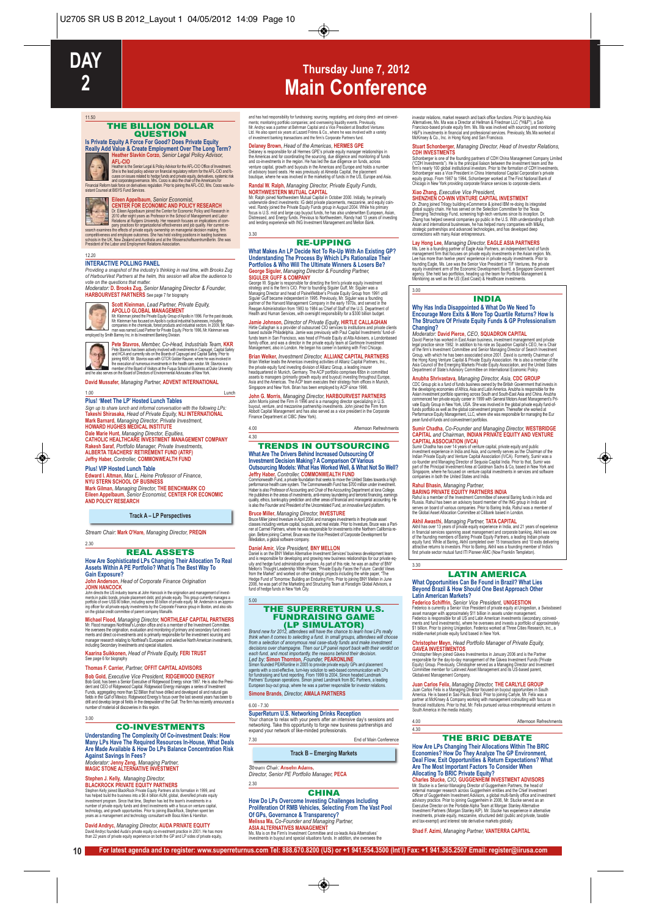11.50

# **Thursday June 7, 2012 Main Conference**

#### THE BILLION DOLLAR QUESTION

**Is Private Equity A Force For Good? Does Private Equity Really Add Value & Create Employment Over The Long Term? Heather Slavkin Corzo,** *Senior Legal Policy Advisor,*

Arth-CIO Chica chica state and & Policy Advisor for the AFL-CIO Office of Investment.<br>She's the lead policy advisor on franchal regulatory profinition the AFL-CIO and to state and conservations of<br>conservation to the prope

Selart Coursel at BISYS Hund Services.<br> **CENTER FOR ECONOMIC AND POLICY RESEARCH**<br> **CENTER FOR ECONOMIC AND POLICY RESEARCH**<br> **CENTER FOR ECONOMIC AND POLICY RESEARCH**<br>
2010 after endy years as Protessor in the School of M

#### 12.20

**INTERACTIVE POLLING PANEL** *Providing a snapshot of the industry's thinking in real time, with Brooks Zug*

of HarbourVest Partners at the helm, this session will allow the audience to<br>vote on the questions that matter.<br>Moderator: **D. Brooks Zug,** Senior Managing Director & Founder,<br>**HARBOURVEST PARTNERS** See page 7 for biograph



### **Scott Kleinman,** *Lead Partner, Private Equity,*

APOLLO GLOBAL MANAGEMENT IN THE STATE OF THE PRESENT OF THE PART OF THE STATE OF THE PRESENT OF THE SCONSING INTERFERING TO A CONTROLLOGY THE STATE OF THE WAS CONSIDERED THE SCONSIDE CONTRACT OF THE WAS CONSIDERED TO A CON

Pete Starva has been actively involved with measures in Support (SAR)<br>The Starva has been actively involved with measures in Capangel Copalis Starty<br>Starva Capanda (SAR) and the Starva set with GTCR Colder Raters, where th

**David Mussafer,** *Managing Partner,* **ADVENT INTERNATIONAL**

#### 1.00 Lunch

2.30

**Plus! 'Meet The LP' Hosted Lunch Tables**

*Sign up to share lunch and informal conversation with the following LPs:* **Takeshi Shirasaka,** *Head of Private Equity,* **NLI INTERNATIONAL Mark Barnard,** *Managing Director, Private Investment,* **HOWARD HUGHES MEDICAL INSTITUTE Dale Marie Hunt,** *Managing Director, Equities,* **CATHOLIC HEALTHCARE INVESTMENT MANAGEMENT COMPANY Rakesh Saraf,** *Portfolio Manager, Private Investments,* **ALBERTA TEACHERS' RETIREMENT FUND (ATRF) Jeffry Haber,** *Controller,* **COMMONWEALTH FUND**

Plus! VIP Hosted Lunch Table<br>Edward I. Altman, Max. L. Heine Professor of Finance,<br>NYU STERN SCHOOL OF BUSINESS<br>Mark Gilman, *Managing Director,* THE BENCHMARK CO<br>Elieen Appelbaum, Senior *Economist, CENTER FOR ECONOMIC*<br>A

#### **Track A – LP Perspectives**

*Stream Chair:* **Mark O'Hare,** *Managing Director,* **PREQIN**

#### REAL ASSETS

# **How Are Sophisticated LPs Changing Their Allocation To Real Assets Within A PE Portfolio? What Is The Best Way To Gain Exposure?**

**John Anderson,** *Head of Corporate Finance Origination* **JOHN HANCOCK**<br>John directs the US indus

John drecks the US industry teams at John Hancock in the origination and management of invest-<br>ments in public bonds, private placement debt, and private equity. This group currently manages a<br>portfolio of over US\$ 80 bill

### **Michael Flood,** *Managing Director,* **NORTHLEAF CAPITAL PARTNERS**

Mr. Flood manages Northleaf's London office and is a member of the Investment Committee.<br>He oversees the origination, evaluation and monitoring of primary and secondary fund invest-<br>ments and direct co-investments and is p

**Kaarina Suikkonen,** *Head of Private Equity,* **FERI TRUST** See page 6 for biography

#### **Thomas F. Carrier,** *Partner,* **OFFIT CAPITAL ADVISORS**

**Bob Gold,** Executive Vice President, RIOGEPVOOD ENERGY<br>Bob Gold, has been a Senior Executive of Ridgewood Energy since 1987. He is also the President of CEO of Ridgewood Capital, Ridgewood Energy manages a series of Inves

3.00

### CO-INVESTMENTS

**Understanding The Complexity Of Co-investment Deals: How Many LPs Have The Required Resources In-House, What Deals Are Made Available & How Do LPs Balance Concentration Risk**

**Against Savings In Fees?** *Moderator:* **Jenny Zeng,** *Managing Partner,*  **MAGIC STONE ALTERNATIVE INVESTMENT**

Stephen J. Kelly, *Managing Director,*<br>Bla**ACKROCK PRIVATE EQUITY PARTNERS**<br>BlaACKROCK PRIVATE EQUITY PARTNERS<br>has helped build the business into a SR-4 billion AllM, global, diversified private equity<br>investment (rorgam,

### **David Andryc,** *Managing Director,* **AUDA PRIVATE EQUITY** David Andryc founded Auda's private equity co-investment practice in 2001. He has more than 22 years of private equity experience on both the GP and LP sides of private equity,

and has had responsibility for thordiasing; sourcing, negotialing, and closing direct- and convest-<br>ments; monitoring portfolio companies; and overseeing liquidity events. Previously,<br>Mr. Andryc was a partner at Behrman Ca

**Delaney Brown, Head of the Americas, HERMES CPE<br>Delaney is responsible for all Hermes GPE's private equily manager relationships in<br>the Americas and for coordinating the sourcing, due diligence and monitoring of funds<br>and** 

Randal W. Ralph, Ma*naging Director, Private Equity Funds,*<br>NORTHWESTERN MUTUAL CAPITAL<br>MCRISHIP (STATE) AND STATE AND STATE AND STATE AND INTERFERING INTERFERING INTERFERING<br>underwords dred investments: IG debt private pl Distressed, and Line<br>and lending experient<br>3.30

#### RE-UPPING

# **What Makes An LP Decide Not To Re-Up With An Existing GP? Understanding The Process By Which LPs Rationalize Their<br>Portfolios & Who Will The Ultimate Winners & Losers Be?**

**Portfolios & Who Will The Ultimate Winners & Lossers Be?**<br>**George Siguler, Managing Director & Founding Partner,<br>SIGULER GUFF & COMPANY<br>Ceaps W Siguler Signes Conception the firm's private equity investment<br>Ceapsy and is** 

**Jamie Johnson,** *Director of Private Equity,* **HIRTLE CALLAGHAN** Hirtle Cailaghan is a provider of outsourced CIO services to institutions and private clients<br>based outside Philadelphia. Jamie was previously with Paul Capital Investments' fund-of-<br>funds team in San Francisco, was head o

Brian Welker, Anvestment Director, ALLLANZ CAPITAL PRATTAERS, Inc.,<br>Brian Welker leads the Americas investing activities of Allianz Capital Partners, Inc.,<br>the private equity fund investing division of Allianz Capup, a lea

**John G. Morris,** *Managing Director,* **HARBOURVEST PARTNERS**<br>John Moris joined the Firm in 1996 and is a managing director specializing in U.S.<br>buyout, venture, and mezzanine partnership investments. John joined the Firm fr

4.00 Afternoon Refreshments 4.30

#### TRENDS IN OUTSOURCING **What Are The Drivers Behind Increased Outsourcing Of**

# **Investment Decision Making? A Comparison Of Various**

Outsourcing Models: What Has Worked Woll, & What Not So Well?<br>Leffry Haber, Controller, COMMONWEALTH FUND<br>commonwealth Fund, aprivate louradistin that seeks to move the United States twarts a high<br>performance health care s

Bruce Millier, Managring Director, INVESTURE<br>Bruce Miller joined Investure in April 2004 and manages investments in the private asset<br>classes inducing venture capital, buyouls, and real estate. Prior to linvesture, Bruce w

Daniel Amir, Vice President, BNY MELLON<br>Daniel son the BNY Mellon Allemative Investment Services' business development team<br>and is responsible for developing and growing new business relationships for our private eq<br>uly an

### THE SUPERRETURN U.S. FUNDRAISING GAME

Brand new for 2012, **ARROW MICHATORY**<br>
Brand new for 2012, alterdates will have the chance to learn how LPs really<br>
think when it comes to selecting a fund. In small groups, attendees will choose<br>
from a selection of anony

**Simone Brands,** *Director,* **AMALA PARTNERS**

6.00 - 7.30

5.00

**SuperReturn U.S. Networking Drinks Reception**<br>Your chance to relax with your peers after an intensive day's sessions and<br>networking. Take this opportunity to forge new business partnerships and<br>expand your network of like 7.30 End of Main Conference

### **Track B – Emerging Markets**

*Stream Chair:* **Anselm Adams,** *Director, Senior PE Portfolio Manager,* **PECA** 2.30

#### **CHINA**

How Do LPs Overcome Investing Challenges Including<br>Proliferation Of RMB Vehicles, Selecting From The Vast Pool<br>Of GPs, Governance & Transparency?<br>Melissa Ma, Co-Founder and Managing Partner,<br>ASIA ALTERNATIVES MANAGEMENT<br>Ms

**10 For latest agenda and to register: www.superreturnus.com Tel: 888.670.8200 (US) or +1 941.554.3500 (Int'l) Fax: +1 941.365.2507 Email: register@iirusa.com**

investor relations, market research and back office functions. Prior to launching Asia<br>Alternatives, Ms. Ma was a Director at Hellman & Friedman LLC ("H&F"), a San<br>Francisco-based private equity firm. Ms. Ma was involved w

### **Stuart Schonberger,** *Managing Director, Head of Investor Relations,*

CDH INVESTIMENTS<br>Scholberger is one of the founding partners of CDH China Management Company Limite<br>("CDH Investments"), He is the principal liaison between the investment team and the<br>firm's nearly 100 global institutiona

### **Xiao Zhang,** *Executive Vice President,*

SHENZHEN CO-WIN VENTURE CAPITAL INVESTING THE STATIST CO-VIRGIT CO-VIRGIT CO-VIRGIT CO-VIRGIT CO-VIRGIT CONTE<br>OC ZARANJ COMENT CONTENT CONTENT CONTENT CONTENT CONTENT CONTENT CONTENT CONTENT CONTENT CONTENT CONTENT CONTENT

Lay Hong Lee, Managing Director, EAGLE ASIA PARTNERS<br>Ms. Lee is a founding partner of Eagle Asia Partners, an independent fund of funds<br>transparent firm that focuses on private equily investments in the Asian region. Ms.<br>L

#### INDIA

# **Why Has India Disappointed & What Do We Need To Encourage More Exits & More Top Quartile Returns? How Is The Structure Of Private Equity Funds & GP Professionalism**

3.00

**Changing?**<br>Moderator: David Pierce, CEO, SQUADRON CAPITAL<br>David Pierce has worked in East Asian business, investment management and private<br>David Pierce has worked in East Asian business, investment management and private

Anubha Bhrivastava, Maragingo Director, Asia, CDC GROUP<br>COC Group pic is a fund of funds business owned by the British Government that invests in<br>the developing economies of Africa, Asia and Latin America. Anubha is respon

# **Sumir Chadha,** *Co-Founder and Managing Director,* **WESTBRIDGE CAPITAL** *and Chairman,* **INDIAN PRIVATE EQUITY AND VENTURE CAPITAL ASSOCIATION (IVCA)**

Sumric Chadha has over 14 years of venture caplial, private equity and public<br>linestment experience in India and Asia, and currently serves as the Chairman of the<br>Indian Private Equity and Venture Capital Association (IVCA

3.30

**Rahul Bhasin,** *Managing Parther,*<br>BARING PRIVATE EQUITY PARTNERS INDIA<br>Rahul is a member of the Investment Committee of several Baring funds in India and<br>Russia. Rahul has been an advisory board member of the ING group i

Akhil Awasthi, Managoing Partner, TATA CAPITAL<br>Akhil Asa over 13 years of private equity experience in India, and 21 years of experience<br>In financial services spanning asset management and corporate banking. Akhil was one<br>

#### LATIN AMERICA **What Opportunities Can Be Found in Brazil? What Lies Beyond Brazil & How Should One Best Approach Other Latin American Markets?**<br> **Latin American Markets?**<br> **Federico Schiffrin,** Senior Vice President, UNIGESTION

Federico Schiffrin, Senior Vice President, UNIGESTION<br>Federico is currently a Senior Vice President of private equity at Unigestion, a Swissbase<br>asset manager with approximately \$11 billion in assets under management.<br>Fede

#### **Christopher Meyn,** *Head Portfolio Manager of Private Equity,*

GAVEA INVESTIMENTOS<br>Christopher Meyn joined Gávea Investmentos in January 2006 and is the Partner<br>responsible for the day-to-day management of the Gávea Investment Funds (Private<br>Equity) Group, Previously, Christopher serv Globalvest Management Company.

**Juan Carlos Felix, Managing Director, THE CARLYLE GROUP**<br>Juan Carlos Felix is a Managing Director foused on buyout opportunities in South<br>America. He is based in Sao Paulo, Brazil. Prior to joining Carlyle, Mr. Felix was South America in the media industry.

| 4.00 | Afternoon Refreshments |
|------|------------------------|
| 4.30 |                        |

#### THE BRIC DEBATE

How Are LPs Changing Their Allocations Within The BRIC<br>Economies? How Do They Analyze The GP Environment,<br>Deal Flow, Exit Opportunities & Return Expectations? What<br>Are The Most Important Factors To Consider When<br>Allocating

**Shad F. Azimi,** *Managing Partner,* **VANTERRA CAPITAL**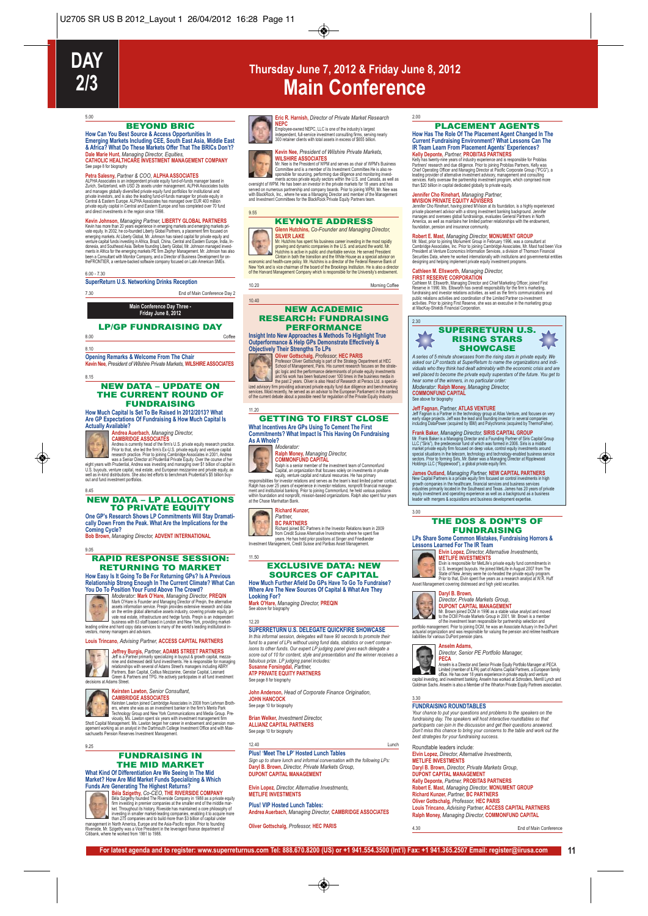

5.00

# **Thursday June 7, 2012 & Friday June 8, 2012 Main Conference**

#### BEYOND BRIC

**How Can You Best Source & Access Opportunities In Emerging Markets Including CEE, South East Asia, Middle East & Africa? What Do These Markets Offer That The BRICs Don't? Dale Marie Hunt,** *Managing Director, Equities,* **CATHOLIC HEALTHCARE INVESTMENT MANAGEMENT COMPANY**

See page 8 tor bography<br>**Perta** Salesmy, *Partner & COO*, **ALPHA ASSOCIATES**<br>ALPHA Associates is an independent private equity fund-of-lunds manager based in<br>Zurich, Switzerland, with USD 20 assets under management. ALPHA

Kevin Johnson, Managing Partner, LIBERTY GLOBAL<br>Kevin has more than 20 years experience in emerging markets and emerging markets pri-<br>value equity, in 2002, he co-founded Liberty Global Partners, a placement firm focused o

#### 6.00 - 7.30

**SuperReturn U.S. Networking Drinks Reception**

7.30 End of Main Conference Day 2

# **Main Conference Day Three - Friday June 8, 2012**

#### LP/GP FUNDRAISING DAY

8.00 Coffee

### 8.10

**Opening Remarks & Welcome From The Chair Kevin Nee,** *President of Wilshire Private Markets,* **WILSHIRE ASSOCIATES**

#### 8.15

#### NEW DATA – UPDATE ON THE CURRENT ROUND OF FUNDRAISING

**How Much Capital Is Set To Be Raised In 2012/2013? What Are GP Expectations Of Fundraising & How Much Capital Is Actually Available?**



### **Andrea Auerbach,** *Managing Director,*

CAMBRIDGE ASSOCIATES<br>
Andrea is currently head of the firm's U.S. private equity research practice.<br>
Prior to that, she led the firm's EUS. private equity research practice<br>
research practice. Prior to pointing Candindge A

#### 8.45 NEW DATA – LP ALLOCATIONS TO PRIVATE EQUITY

**One GP's Research Shows LP Commitments Will Stay Dramatically Down From the Peak. What Are the Implications for the Coming Cycle? Bob Brown,** *Managing Director,* **ADVENT INTERNATIONAL**

#### 9.05 RAPID RESPONSE SESSION: RETURNING TO MARKET

**How Easy Is It Going To Be For Returning GPs? Is A Previous Relationship Strong Enough In The Current Climate? What Can**



**You Do To Position Your Fund Above The Crowd?**<br>
Moderator: **Marke, OHEARE, Market All the Crowd**?<br>
Mark O'Hare is Founder and Managing Director of Preqin, the alternative<br>
assets information service.<br>
The market of the pr

### **Louis Trincano,** *Advising Partner,* **ACCESS CAPITAL PARTNERS**



# **Jeffrey Burgist, Partner, ADAMS STREET PARTNERS**<br>Jeff is a Patter primary specializing in buyout & growth capital, mezza-<br>inte and distressed debt fund investments. He is responsible for managing<br>relationships with severa



CAMBRINDGE ASSOCIATES<br>
CAMBRINDE CAMBRING Associates in 2008 from Lehman Broth<br>
rest, where she was as an investiment banker in the firms Menio Park<br>
Technology Group and New York Communications and Media Group.<br>
Pre-Shott

### FUNDRAISING IN THE MID MARKET

**What Kind Of Differentiation Are We Seeing In The Mid Market? How Are Mid Market Funds Specializing & Which**



9.25

**Funds Are Generating The Highest Returns?**<br> **Example 19 Béla Szigethy, Co-C-EO, THE RIVERSIDE COMPANY**<br> **Béla Szigethy, Co-C-EO, THE RIVERSIDE COMPANY**<br> **Example 19 Companies** at the smaller end of the middle mar-<br>
th



**EVITH PROPRET CONSIDENTS AND A SERVEM AND A SERVE A SERVE A SERVE A PROPRET CONSIDENT AND A SERVE A CONSIDENT CONSIDENTS CONSIDER SURFACE AND A SERVE A CONSIDER SURFACE AND A CONSIDER SURFACE TO A CONSIDER A CONSIDER AND** 

### KEYNOTE ADDRESS

**Glenn Hutchins,** *Co-Founder and Managing Director,* **SILVER LAKE** Mr. Hutchins has spent his business career investing in the most rapidly growing and dynamic companies in the U.S. and around the world. Mr.

Turumas is active in public and charakter service. He served in Christian Christian Christian Christian Christian Christian Christian Christian Christian Christian Christian Christian Christian Christian Christian Christia

10.20 Morning Coffee

#### NEW ACADEMIC RESEARCH: FUNDRAISING PERFORMANCE

**Insight Into New Approaches & Methods To Highlight True**



9.55

10.40

Outperformance & Help GPs Demonstrate Effectively &<br>
Objectively Their Strengths To LPs<br>
POISE (The CHARIS<br>
POISS COMET CONSIDER THE CONSIDER CONSIDER THE CONSIDERATION<br>
Professor Oliver Gottschalg, *Professor,* HEC PARIS<br>

#### 11.20 GETTING TO FIRST CLOSE

#### **What Incentives Are GPs Using To Cement The First Commitments? What Impact Is This Having On Fundraising As A Whole?**





11.50

Moderator:<br>
Radph Money, Managing Director,<br>
Radph Money, Managing Director,<br>
Radph Money, Managing Director,<br>
Radph Money, Managing and national resurces the hasten finitive<br>
Capital, an enganization that locuses solely o

# **Richard Kunzer,**

**Partner,<br>
BC PARTNERS<br>
Richard joined BC Partners in the Investor Relations team in 2008<br>
Richard Steps and Fried Header Steps and Friedlander<br>
Investment Management, Credit Suisse and Partnas Asset Management.<br>
Investmen** 

### EXCLUSIVE DATA: NEW SOURCES OF CAPITAL

**How Much Further Afield Do GPs Have To Go To Fundraise? Where Are The New Sources Of Capital & What Are They**

**Looking For?**<br><mark>Mark O'Hare,</mark> *Managing Director*, **PREQIN**<br>See above for biography

1220<br>SUPERRETURN U.S. DELEGATE QUICKFIRE SHOWCASE<br>In this informal session, delegates will have 90 seconds to promote their<br>thank to a panel of LPs without using fund data, statistics or over tompar-<br>isons to other funds.

See page 8 for biography

**John Anderson,** *Head of Corporate Finance Origination,* **JOHN HANCOCK**  See page 10 for biography

**Brian Welker,** *Investment Director,* **ALLIANZ CAPITAL PARTNERS**  See page 10 for biography

12.40 Lunch

#### **Plus! 'Meet The LP' Hosted Lunch Tables** *Sign up to share lunch and informal conversation with the following LPs:*

**Daryl B. Brown,** *Director, Private Markets Group,* **DUPONT CAPITAL MANAGEMENT**

**Elvin Lopez,** *Director, Alternative Investments,* **METLIFE INVESTMENTS**

**Plus! VIP Hosted Lunch Tables: Andrea Auerbach,** *Managing Director,* **CAMBRIDGE ASSOCIATES**

**For latest agenda and to register: www.superreturnus.com Tel: 888.670.8200 (US) or +1 941.554.3500 (Int'l) Fax: +1 941.365.2507 Email: register@iirusa.com 11**

**Oliver Gottschalg,** *Professor,* **HEC PARIS**

**PLACEMENT AGENTS**<br>How Has The Role of The Placement Agent Changed In The<br>Current Fundraising Environment? What Lessons Can The<br>RET Current Fundraising Environment? What Lessons Can The<br>Relly Deponde, *Partner*, **PROBITAS** 

### **Jennifer Cho Rinehart,** *Managing Partner,*

2.00

**MVISION PRIVATE EQUITY ADVISERS**<br>Jennifer Cho Rinehart, having joined MVision at its foundation, is a highly experienced<br>private placement advisor with a strong investment banking background. Jennifer<br>manages and oversees America, as well as maintains her limited partner relationships with the endowment, foundation, pension and insurance community.

**Robert E. Mast, Managring Directory MONUMENT CROUP**<br>Mr. Mast, prior to joining Monument Group in February 1996, was a consultant at<br>Cambridge Associates, inc. Prior to joining Cambridge Associates, Mr. Mast had been Vice<br>

**Cathleen M. Ellsworcht,** *Managing Director,***<br>FIRST RESERVE CORPORATION<br>FIRST RESERVE CORPORATION<br>Reserve in 1990. Ms. Ellsworth has overall responsibility for the firm's marketing.<br>Andraising and investor relations activa** 



A series of 5 minute showcases from the nising stars in private equity. We<br>asked our LP contacts at SuperReturn to name the organizations and individuals who they think had dealt admirably with the economic crisis and are<br>

**Jeff Fagnan,** *Partner,* **ATLAS VENTURE**<br>Jeff Fagnan is a Partner in the lechnology group at Atlas Venture, and focuses on very<br>early stage projects. Jeff was the lead and founding investor in several companies<br>including Da

#### **Frank Baker,** *Managing Director,* **SIRIS CAPITAL GROUP**

Mr. Frank Baker is a Managng Director and a Founding Partner of Sins Capital Group<br>ILLC ("Sins"), the predecessor fund of which was formed in 2006. Sins is a middle<br>market private equily firm focused on deep value, control

**James Outland,** *Managing Partner,* **NEW CAPITAL PARTNERS** New Capital Partners is a private equity firm focused on control investments in high<br>growth companies in the healthcare, financial services and business services<br>industries primarily located in the Southeast and Texas. Jam

#### THE DOS & DON'TS OF FUNDRAISING

**LPs Share Some Common Mistakes, Fundraising Horrors & Lessons Learned For The IR Team**



3.00

**Example 10 Pays Director, Alternative Investments,<br>
Elvin is responsible for MeILIFS<br>
Elvin is responsible for MeILIFS<br>
Elvin is responsible for MeILIFS<br>
USI, leveraged buyouts. He pined MeILIFe in August 2007 from The<br>
U** 



# **Daryl B. Brown,**

# **Example 19 (Analytic Prodic Markets Group)**<br> **MC DUPONT CAPTEAL MANAGEMENT**<br> **MC Brown (and BOXI)** MC and 1998 as a stable value analyst and moved<br>
to the investment team responsible for partnership selection and<br>
of the

**Anselm Adams,** *Director, Senior PE Portfolio Manager,* **PECA**

**FUNDRAISING ROUNDTABLES** 

Roundtable leaders include:

**Elvin Lopez,** *Director, Alternative Investments,* **METLIFE INVESTMENTS Daryl B. Brown,** *Director, Private Markets Group,* **DUPONT CAPITAL MANAGEMENT Kelly Deponte,** *Partner,* **PROBITAS PARTNERS Robert E. Mast,** *Managing Director,* **MONUMENT GROUP**

Amelim is a Director and Senior Private Equity Portforto Manager at PECA<br>Limited (member of LIPA) part of Adams Capital Partners, a European family<br>office. He has over 18 years experience in private equity and venture<br>capi

**FUNDRAISING ROUNDTABLES**<br>Your chance to put your questions and problems to the speakers on the<br>fundraising day. The speakers will host interactive roundtables so that<br>participants can join in the discussion and get their

Richard Kunzer, *Partner,* BC PARTNERS<br>Oliver Gottschalg, *Professor,* HEC PARIS<br>Louis Trincano, *Advising Partner, ACCE*SS CAPITAL PARTNERS<br>Ralph Money, *Managing Director, CO*MMONFUND CAPITAL

4.30 End of Main Conference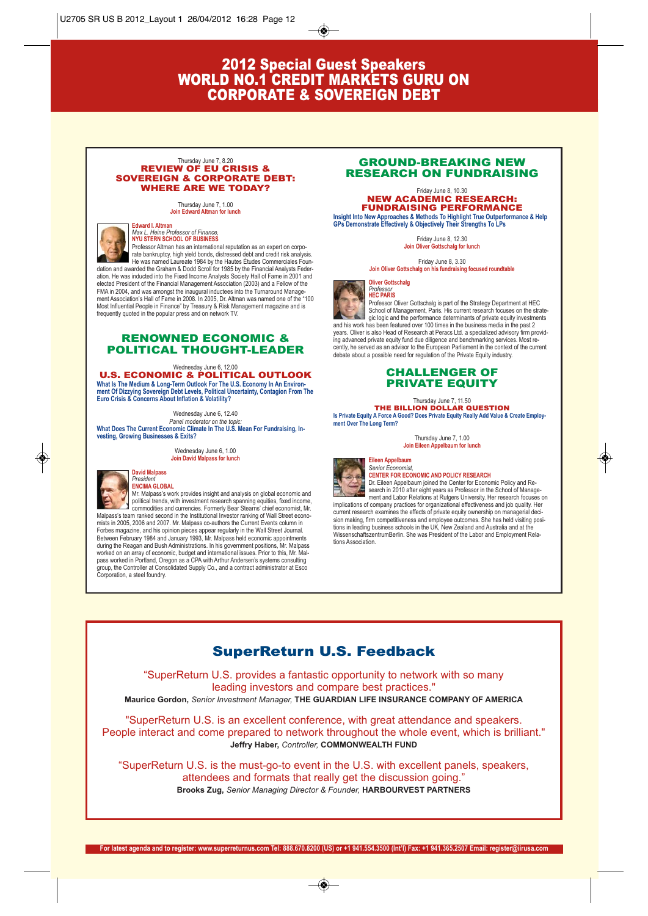# 2012 Special Guest Speakers WORLD NO.1 CREDIT MARKETS GURU ON CORPORATE & SOVEREIGN DEBT

#### Thursday June 7, 8.20 REVIEW OF EU CRISIS & SOVEREIGN & CORPORATE DEBT: WHERE ARE WE TODAY?

Thursday June 7, 1.00 **Join Edward Altman for lunch**



**Edward I. Altn** *Max L. Heine Professor of Finance,*  **NYU STERN SCHOOL OF BUSINESS**

frequently quoted in the popular press and on network TV.

Professor Altman has an international reputation as an expert on corporate bankruptcy, high yield bonds, distressed debt and credit risk analysis. He was named Laureate 1984 by the Hautes Études Commerciales Foundation and awarded the Graham & Dodd Scroll for 1985 by the Financial Analysts Federation. He was inducted into the Fixed Income Analysts Society Hall of Fame in 2001 and elected President of the Financial Management Association (2003) and a Fellow of the FMA in 2004, and was amongst the inaugural inductees into the Turnaround Manage-ment Association's Hall of Fame in 2008. In 2005, Dr. Altman was named one of the "100

RENOWNED ECONOMIC & POLITICAL THOUGHT-LEADER

Most Influential People in Finance" by Treasury & Risk Management magazine and is

Wednesday June 6, 12.00 U.S. ECONOMIC & POLITICAL OUTLOOK What Is The Medium & Long-Term Outlook For The U.S. Economy In An Environ-<br>ment Of Dizzying Sovereign Debt Levels, Political Uncertainty, Contagion From The<br>Euro Crisis & Concerns About Inflation & Volatility?

Wednesday June 6, 12.40 *Panel moderator on the topic:* **What Does The Current Economic Climate In The U.S. Mean For Fundraising, Investing, Growing Businesses & Exits?**

> Wednesday June 6, 1.00 **Join David Malpass for lunch**



#### **David Malpass** *President* **ENCIMA GLOBAL**

Mr. Malpass's work provides insight and analysis on global economic and political trends, with investment research spanning equities, fixed income, commodities and currencies. Formerly Bear Stearns' chief economist, Mr. Malpass's team ranked second in the Institutional Investor ranking of Wall Street economists in 2005, 2006 and 2007. Mr. Malpass co-authors the Current Events column in Forbes magazine, and his opinion pieces appear regularly in the Wall Street Journal. Between February 1984 and January 1993, Mr. Malpass held economic appointments during the Reagan and Bush Administrations. In his government positions, Mr. Malpass worked on an array of economic, budget and international issues. Prior to this, Mr. Malpass worked in Portland, Oregon as a CPA with Arthur Andersen's systems consulting group, the Controller at Consolidated Supply Co., and a contract administrator at Esco Corporation, a steel foundry.

### GROUND-BREAKING NEW RESEARCH ON FUNDRAISING

#### Friday June 8, 10.30 NEW ACADEMIC RESEARCH: FUNDRAISING PERFORMANCE

**Insight Into New Approaches & Methods To Highlight True Outperformance & Help GPs Demonstrate Effectively & Objectively Their Strengths To LPs**

Friday June 8, 12.30 **Join Oliver Gottschalg for lunch**

Friday June 8, 3.30 **Join Oliver Gottschalg on his fundraising focused roundtable**

**Oliver Gottschalg**



*Professor* **HEC PARIS** Professor Oliver Gottschalg is part of the Strategy Department at HEC

School of Management, Paris. His current research focuses on the strategic logic and the performance determinants of private equity investments and his work has been featured over 100 times in the business media in the past 2 years. Oliver is also Head of Research at Peracs Ltd. a specialized advisory firm providing advanced private equity fund due diligence and benchmarking services. Most re-cently, he served as an advisor to the European Parliament in the context of the current debate about a possible need for regulation of the Private Equity industry.

### CHALLENGER OF PRIVATE EQUITY

### Thursday June 7, 11.50

THE BILLION DOLLAR QUESTION **Is Private Equity A Force A Good? Does Private Equity Really Add Value & Create Employment Over The Long Term?**

> Thursday June 7, 1.00 **Join Eileen Appelbaum for lunch**

### **Eileen Appelb**



*Senior Economist,*  **CENTER FOR ECONOMIC AND POLICY RESEARCH**

Dr. Eileen Appelbaum joined the Center for Economic Policy and Research in 2010 after eight years as Professor in the School of Management and Labor Relations at Rutgers University. Her research focuses on implications of company practices for organizational effectiveness and job quality. Her current research examines the effects of private equity ownership on managerial deci-

sion making, firm competitiveness and employee outcomes. She has held visiting posi-tions in leading business schools in the UK, New Zealand and Australia and at the WissenschaftszentrumBerlin. She was President of the Labor and Employment Relations Association.

# SuperReturn U.S. Feedback

"SuperReturn U.S. provides a fantastic opportunity to network with so many leading investors and compare best practices." **Maurice Gordon,** *Senior Investment Manager,* **THE GUARDIAN LIFE INSURANCE COMPANY OF AMERICA**

"SuperReturn U.S. is an excellent conference, with great attendance and speakers. People interact and come prepared to network throughout the whole event, which is brilliant." **Jeffry Haber,** *Controller,* **COMMONWEALTH FUND**

"SuperReturn U.S. is the must-go-to event in the U.S. with excellent panels, speakers, attendees and formats that really get the discussion going." **Brooks Zug,** *Senior Managing Director & Founder,* **HARBOURVEST PARTNERS**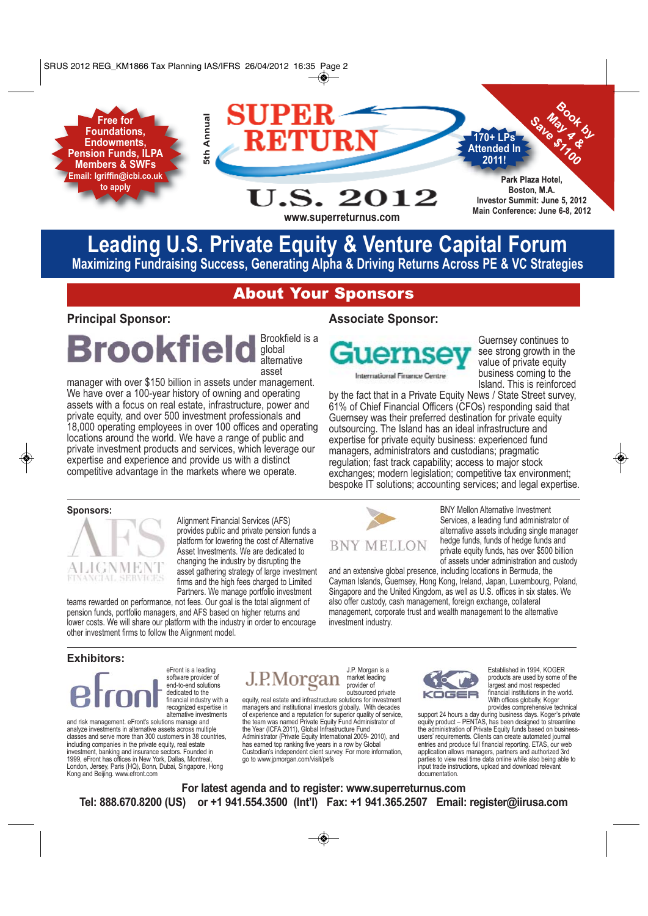**Free for Foundations, Endowments, Pension Funds, ILPA Members & SWFs Email: lgriffin@icbi.co.uk to apply**



# **Leading U.S. Private Equity & Venture Capital Forum Maximizing Fundraising Success, Generating Alpha & Driving Returns Across PE & VC Strategies**

**www.superreturnus.com**

# About Your Sponsors

### **Principal Sponsor:**

Brookfield is a **Brookfield** global alternative asset

manager with over \$150 billion in assets under management. We have over a 100-year history of owning and operating assets with a focus on real estate, infrastructure, power and private equity, and over 500 investment professionals and 18,000 operating employees in over 100 offices and operating locations around the world. We have a range of public and private investment products and services, which leverage our expertise and experience and provide us with a distinct competitive advantage in the markets where we operate.

### **Associate Sponsor:**



Guernsey continues to see strong growth in the value of private equity business coming to the Island. This is reinforced

by the fact that in a Private Equity News / State Street survey, 61% of Chief Financial Officers (CFOs) responding said that Guernsey was their preferred destination for private equity outsourcing. The Island has an ideal infrastructure and expertise for private equity business: experienced fund managers, administrators and custodians; pragmatic regulation; fast track capability; access to major stock exchanges; modern legislation; competitive tax environment; bespoke IT solutions; accounting services; and legal expertise.

### **Sponsors:**



Alignment Financial Services (AFS) provides public and private pension funds a platform for lowering the cost of Alternative Asset Investments. We are dedicated to changing the industry by disrupting the asset gathering strategy of large investment firms and the high fees charged to Limited Partners. We manage portfolio investment

teams rewarded on performance, not fees. Our goal is the total alignment of pension funds, portfolio managers, and AFS based on higher returns and lower costs. We will share our platform with the industry in order to encourage other investment firms to follow the Alignment model.

# **BNY MELLON**

BNY Mellon Alternative Investment Services, a leading fund administrator of alternative assets including single manager hedge funds, funds of hedge funds and private equity funds, has over \$500 billion of assets under administration and custody

and an extensive global presence, including locations in Bermuda, the Cayman Islands, Guernsey, Hong Kong, Ireland, Japan, Luxembourg, Poland, Singapore and the United Kingdom, as well as U.S. offices in six states. We also offer custody, cash management, foreign exchange, collateral management, corporate trust and wealth management to the alternative investment industry.

### **Exhibitors:**



alternative investments and risk management. eFront's solutions manage and analyze investments in alternative assets across multiple classes and serve more than 300 customers in 38 countries, including companies in the private equity, real estate investment, banking and insurance sectors. Founded in 1999, eFront has offices in New York, Dallas, Montreal, London, Jersey, Paris (HQ), Bonn, Dubai, Singapore, Hong Kong and Beijing. www.efront.com

#### J.P. Morgan is a J.P.Morgan market leading provider of outsourced private

equity, real estate and infrastructure solutions for investment managers and institutional investors globally. With decades of experience and a reputation for superior quality of service, the team was named Private Equity Fund Administrator of the Year (ICFA 2011), Global Infrastructure Fund Administrator (Private Equity International 2009- 2010), and has earned top ranking five years in a row by Global Custodian's independent client survey. For more information, go to www.jpmorgan.com/visit/pefs



Established in 1994, KOGER products are used by some of the largest and most respected financial institutions in the world. With offices globally, Koger provides comprehensive technical

support 24 hours a day during business days. Koger's private equity product – PENTAS, has been designed to streamline the administration of Private Equity funds based on businessusers' requirements. Clients can create automated journal entries and produce full financial reporting. ETAS, our web application allows managers, partners and authorized 3rd parties to view real time data online while also being able to input trade instructions, upload and download relevant documentation.

**For latest agenda and to register: www.superreturnus.com Tel: 888.670.8200 (US) or +1 941.554.3500 (Int'l) Fax: +1 941.365.2507 Email: register@iirusa.com**